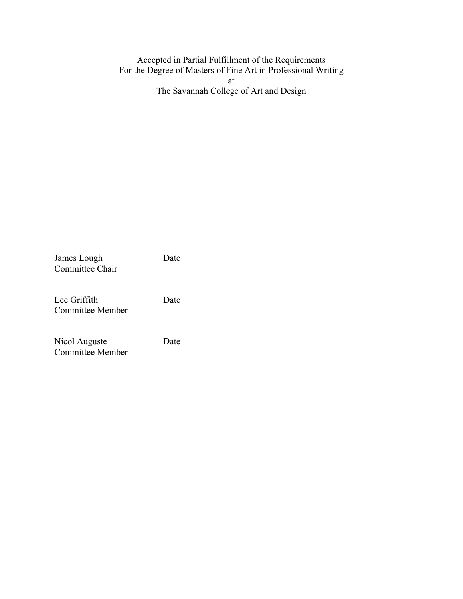#### Accepted in Partial Fulfillment of the Requirements For the Degree of Masters of Fine Art in Professional Writing at

The Savannah College of Art and Design

James Lough Date Committee Chair

Lee Griffith Date Committee Member

Nicol Auguste Date Committee Member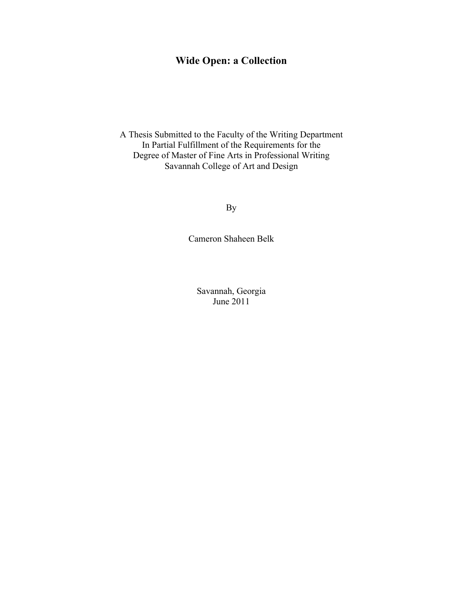# **Wide Open: a Collection**

A Thesis Submitted to the Faculty of the Writing Department In Partial Fulfillment of the Requirements for the Degree of Master of Fine Arts in Professional Writing Savannah College of Art and Design

By

Cameron Shaheen Belk

Savannah, Georgia June 2011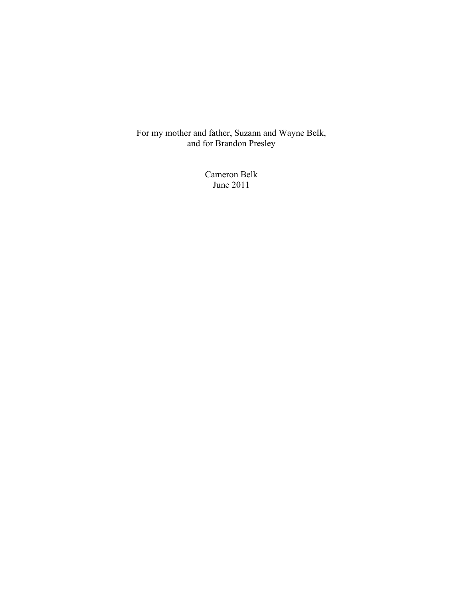For my mother and father, Suzann and Wayne Belk, and for Brandon Presley

> Cameron Belk June 2011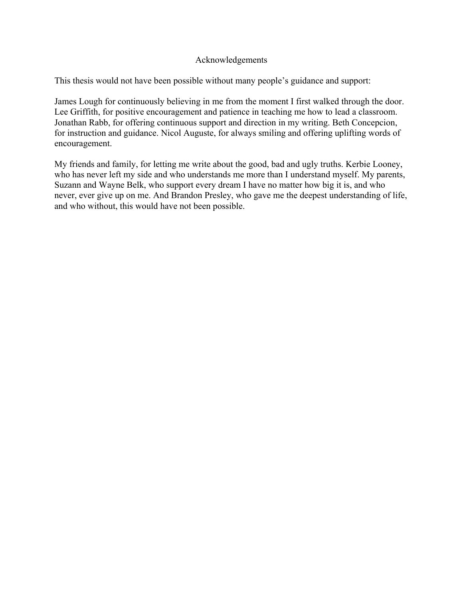#### Acknowledgements

This thesis would not have been possible without many people's guidance and support:

James Lough for continuously believing in me from the moment I first walked through the door. Lee Griffith, for positive encouragement and patience in teaching me how to lead a classroom. Jonathan Rabb, for offering continuous support and direction in my writing. Beth Concepcion, for instruction and guidance. Nicol Auguste, for always smiling and offering uplifting words of encouragement.

My friends and family, for letting me write about the good, bad and ugly truths. Kerbie Looney, who has never left my side and who understands me more than I understand myself. My parents, Suzann and Wayne Belk, who support every dream I have no matter how big it is, and who never, ever give up on me. And Brandon Presley, who gave me the deepest understanding of life, and who without, this would have not been possible.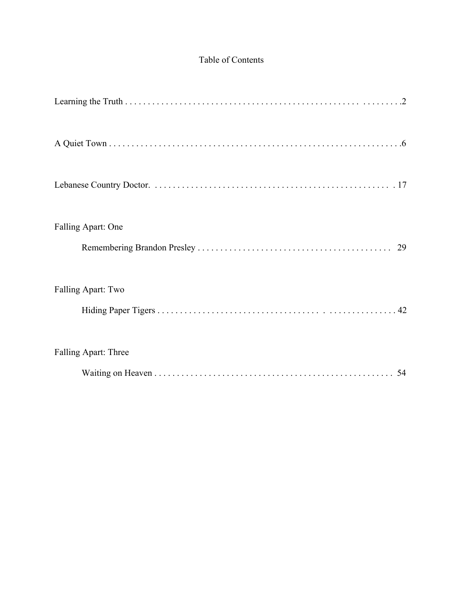## Table of Contents

| Falling Apart: One   |
|----------------------|
| 29                   |
| Falling Apart: Two   |
|                      |
| Falling Apart: Three |
| 54                   |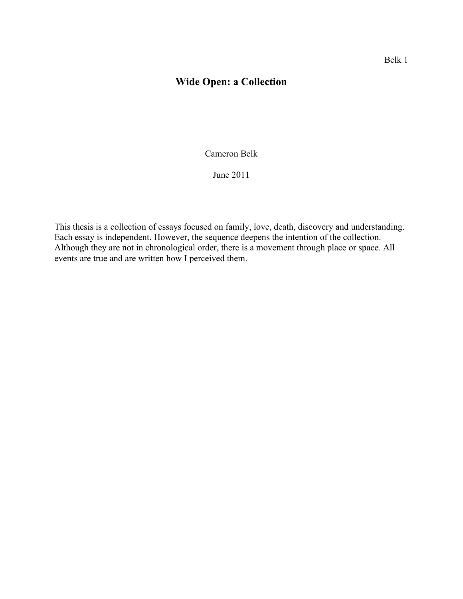# **Wide Open: a Collection**

Cameron Belk

June 2011

This thesis is a collection of essays focused on family, love, death, discovery and understanding. Each essay is independent. However, the sequence deepens the intention of the collection. Although they are not in chronological order, there is a movement through place or space. All events are true and are written how I perceived them.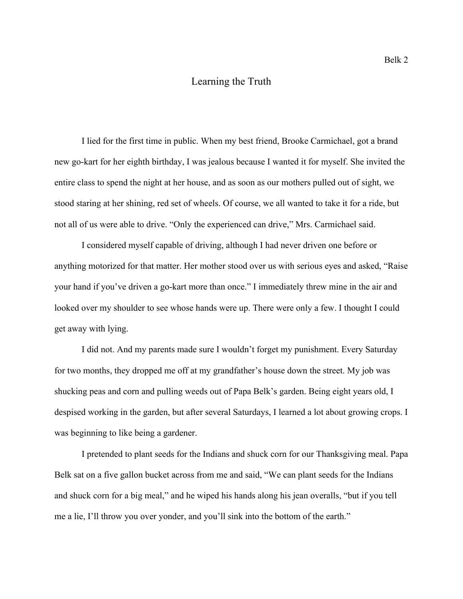### Learning the Truth

I lied for the first time in public. When my best friend, Brooke Carmichael, got a brand new go-kart for her eighth birthday, I was jealous because I wanted it for myself. She invited the entire class to spend the night at her house, and as soon as our mothers pulled out of sight, we stood staring at her shining, red set of wheels. Of course, we all wanted to take it for a ride, but not all of us were able to drive. "Only the experienced can drive," Mrs. Carmichael said.

I considered myself capable of driving, although I had never driven one before or anything motorized for that matter. Her mother stood over us with serious eyes and asked, "Raise your hand if you've driven a go-kart more than once." I immediately threw mine in the air and looked over my shoulder to see whose hands were up. There were only a few. I thought I could get away with lying.

I did not. And my parents made sure I wouldn't forget my punishment. Every Saturday for two months, they dropped me off at my grandfather's house down the street. My job was shucking peas and corn and pulling weeds out of Papa Belk's garden. Being eight years old, I despised working in the garden, but after several Saturdays, I learned a lot about growing crops. I was beginning to like being a gardener.

I pretended to plant seeds for the Indians and shuck corn for our Thanksgiving meal. Papa Belk sat on a five gallon bucket across from me and said, "We can plant seeds for the Indians and shuck corn for a big meal," and he wiped his hands along his jean overalls, "but if you tell me a lie, I'll throw you over yonder, and you'll sink into the bottom of the earth."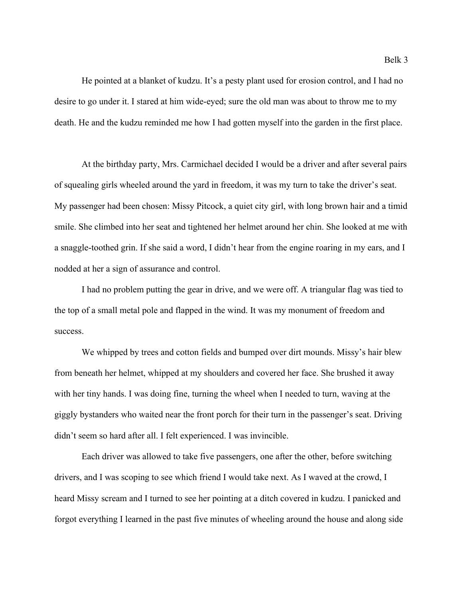He pointed at a blanket of kudzu. It's a pesty plant used for erosion control, and I had no desire to go under it. I stared at him wide-eyed; sure the old man was about to throw me to my death. He and the kudzu reminded me how I had gotten myself into the garden in the first place.

At the birthday party, Mrs. Carmichael decided I would be a driver and after several pairs of squealing girls wheeled around the yard in freedom, it was my turn to take the driver's seat. My passenger had been chosen: Missy Pitcock, a quiet city girl, with long brown hair and a timid smile. She climbed into her seat and tightened her helmet around her chin. She looked at me with a snaggle-toothed grin. If she said a word, I didn't hear from the engine roaring in my ears, and I nodded at her a sign of assurance and control.

I had no problem putting the gear in drive, and we were off. A triangular flag was tied to the top of a small metal pole and flapped in the wind. It was my monument of freedom and success.

We whipped by trees and cotton fields and bumped over dirt mounds. Missy's hair blew from beneath her helmet, whipped at my shoulders and covered her face. She brushed it away with her tiny hands. I was doing fine, turning the wheel when I needed to turn, waving at the giggly bystanders who waited near the front porch for their turn in the passenger's seat. Driving didn't seem so hard after all. I felt experienced. I was invincible.

Each driver was allowed to take five passengers, one after the other, before switching drivers, and I was scoping to see which friend I would take next. As I waved at the crowd, I heard Missy scream and I turned to see her pointing at a ditch covered in kudzu. I panicked and forgot everything I learned in the past five minutes of wheeling around the house and along side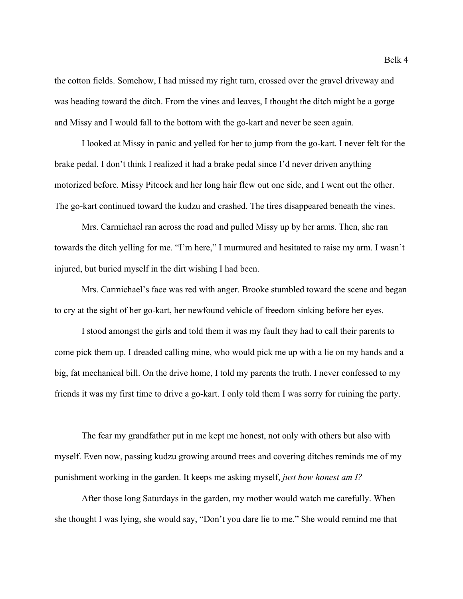the cotton fields. Somehow, I had missed my right turn, crossed over the gravel driveway and was heading toward the ditch. From the vines and leaves, I thought the ditch might be a gorge and Missy and I would fall to the bottom with the go-kart and never be seen again.

I looked at Missy in panic and yelled for her to jump from the go-kart. I never felt for the brake pedal. I don't think I realized it had a brake pedal since I'd never driven anything motorized before. Missy Pitcock and her long hair flew out one side, and I went out the other. The go-kart continued toward the kudzu and crashed. The tires disappeared beneath the vines.

Mrs. Carmichael ran across the road and pulled Missy up by her arms. Then, she ran towards the ditch yelling for me. "I'm here," I murmured and hesitated to raise my arm. I wasn't injured, but buried myself in the dirt wishing I had been.

Mrs. Carmichael's face was red with anger. Brooke stumbled toward the scene and began to cry at the sight of her go-kart, her newfound vehicle of freedom sinking before her eyes.

I stood amongst the girls and told them it was my fault they had to call their parents to come pick them up. I dreaded calling mine, who would pick me up with a lie on my hands and a big, fat mechanical bill. On the drive home, I told my parents the truth. I never confessed to my friends it was my first time to drive a go-kart. I only told them I was sorry for ruining the party.

The fear my grandfather put in me kept me honest, not only with others but also with myself. Even now, passing kudzu growing around trees and covering ditches reminds me of my punishment working in the garden. It keeps me asking myself, *just how honest am I?*

After those long Saturdays in the garden, my mother would watch me carefully. When she thought I was lying, she would say, "Don't you dare lie to me." She would remind me that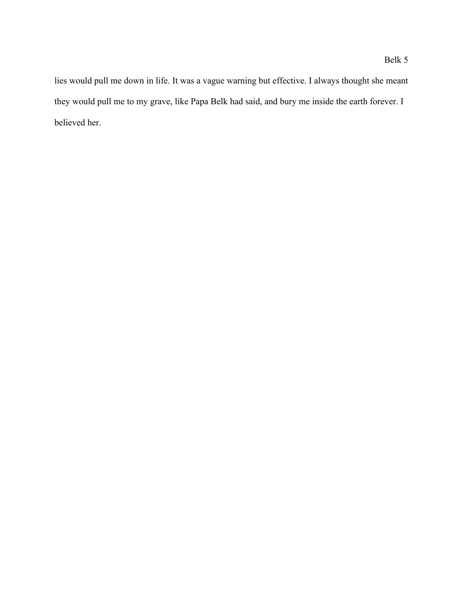lies would pull me down in life. It was a vague warning but effective. I always thought she meant they would pull me to my grave, like Papa Belk had said, and bury me inside the earth forever. I believed her.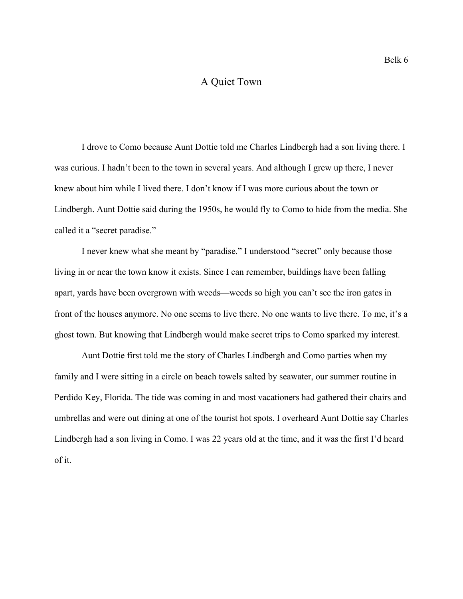### A Quiet Town

I drove to Como because Aunt Dottie told me Charles Lindbergh had a son living there. I was curious. I hadn't been to the town in several years. And although I grew up there, I never knew about him while I lived there. I don't know if I was more curious about the town or Lindbergh. Aunt Dottie said during the 1950s, he would fly to Como to hide from the media. She called it a "secret paradise."

I never knew what she meant by "paradise." I understood "secret" only because those living in or near the town know it exists. Since I can remember, buildings have been falling apart, yards have been overgrown with weeds—weeds so high you can't see the iron gates in front of the houses anymore. No one seems to live there. No one wants to live there. To me, it's a ghost town. But knowing that Lindbergh would make secret trips to Como sparked my interest.

Aunt Dottie first told me the story of Charles Lindbergh and Como parties when my family and I were sitting in a circle on beach towels salted by seawater, our summer routine in Perdido Key, Florida. The tide was coming in and most vacationers had gathered their chairs and umbrellas and were out dining at one of the tourist hot spots. I overheard Aunt Dottie say Charles Lindbergh had a son living in Como. I was 22 years old at the time, and it was the first I'd heard of it.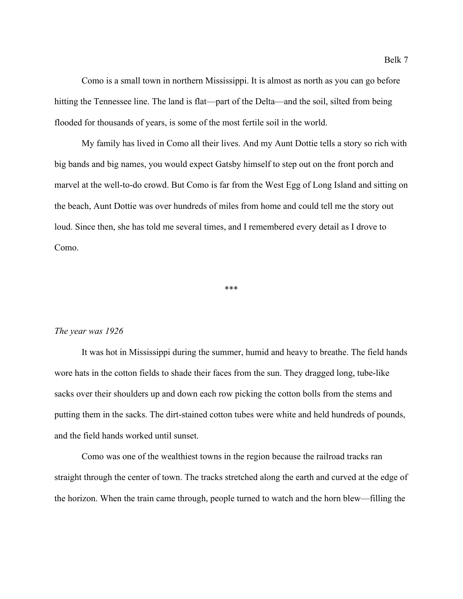Como is a small town in northern Mississippi. It is almost as north as you can go before hitting the Tennessee line. The land is flat—part of the Delta—and the soil, silted from being flooded for thousands of years, is some of the most fertile soil in the world.

My family has lived in Como all their lives. And my Aunt Dottie tells a story so rich with big bands and big names, you would expect Gatsby himself to step out on the front porch and marvel at the well-to-do crowd. But Como is far from the West Egg of Long Island and sitting on the beach, Aunt Dottie was over hundreds of miles from home and could tell me the story out loud. Since then, she has told me several times, and I remembered every detail as I drove to Como.

\*\*\*

#### *The year was 1926*

It was hot in Mississippi during the summer, humid and heavy to breathe. The field hands wore hats in the cotton fields to shade their faces from the sun. They dragged long, tube-like sacks over their shoulders up and down each row picking the cotton bolls from the stems and putting them in the sacks. The dirt-stained cotton tubes were white and held hundreds of pounds, and the field hands worked until sunset.

Como was one of the wealthiest towns in the region because the railroad tracks ran straight through the center of town. The tracks stretched along the earth and curved at the edge of the horizon. When the train came through, people turned to watch and the horn blew—filling the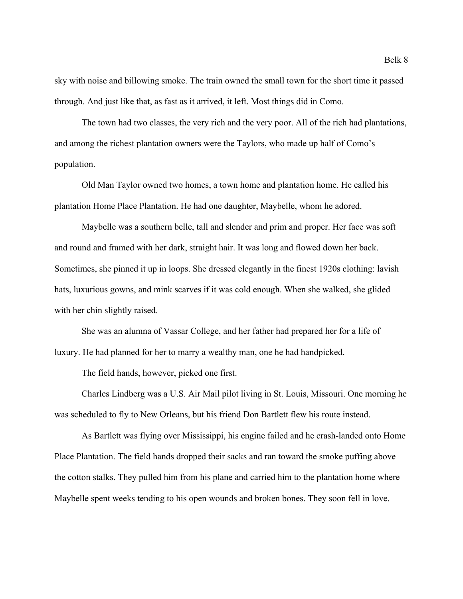sky with noise and billowing smoke. The train owned the small town for the short time it passed through. And just like that, as fast as it arrived, it left. Most things did in Como.

The town had two classes, the very rich and the very poor. All of the rich had plantations, and among the richest plantation owners were the Taylors, who made up half of Como's population.

Old Man Taylor owned two homes, a town home and plantation home. He called his plantation Home Place Plantation. He had one daughter, Maybelle, whom he adored.

Maybelle was a southern belle, tall and slender and prim and proper. Her face was soft and round and framed with her dark, straight hair. It was long and flowed down her back. Sometimes, she pinned it up in loops. She dressed elegantly in the finest 1920s clothing: lavish hats, luxurious gowns, and mink scarves if it was cold enough. When she walked, she glided with her chin slightly raised.

She was an alumna of Vassar College, and her father had prepared her for a life of luxury. He had planned for her to marry a wealthy man, one he had handpicked.

The field hands, however, picked one first.

Charles Lindberg was a U.S. Air Mail pilot living in St. Louis, Missouri. One morning he was scheduled to fly to New Orleans, but his friend Don Bartlett flew his route instead.

As Bartlett was flying over Mississippi, his engine failed and he crash-landed onto Home Place Plantation. The field hands dropped their sacks and ran toward the smoke puffing above the cotton stalks. They pulled him from his plane and carried him to the plantation home where Maybelle spent weeks tending to his open wounds and broken bones. They soon fell in love.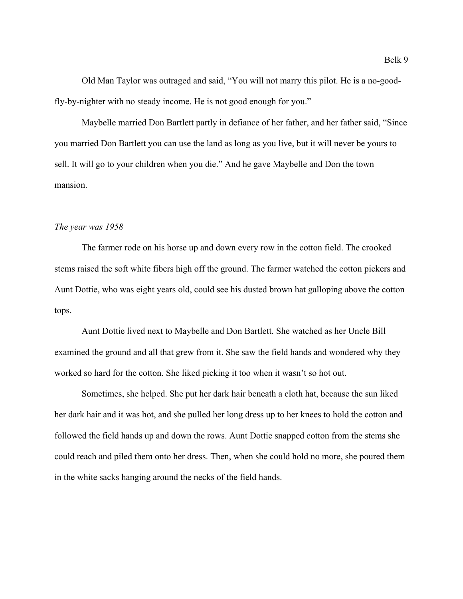Old Man Taylor was outraged and said, "You will not marry this pilot. He is a no-goodfly-by-nighter with no steady income. He is not good enough for you."

Maybelle married Don Bartlett partly in defiance of her father, and her father said, "Since you married Don Bartlett you can use the land as long as you live, but it will never be yours to sell. It will go to your children when you die." And he gave Maybelle and Don the town mansion.

#### *The year was 1958*

The farmer rode on his horse up and down every row in the cotton field. The crooked stems raised the soft white fibers high off the ground. The farmer watched the cotton pickers and Aunt Dottie, who was eight years old, could see his dusted brown hat galloping above the cotton tops.

Aunt Dottie lived next to Maybelle and Don Bartlett. She watched as her Uncle Bill examined the ground and all that grew from it. She saw the field hands and wondered why they worked so hard for the cotton. She liked picking it too when it wasn't so hot out.

Sometimes, she helped. She put her dark hair beneath a cloth hat, because the sun liked her dark hair and it was hot, and she pulled her long dress up to her knees to hold the cotton and followed the field hands up and down the rows. Aunt Dottie snapped cotton from the stems she could reach and piled them onto her dress. Then, when she could hold no more, she poured them in the white sacks hanging around the necks of the field hands.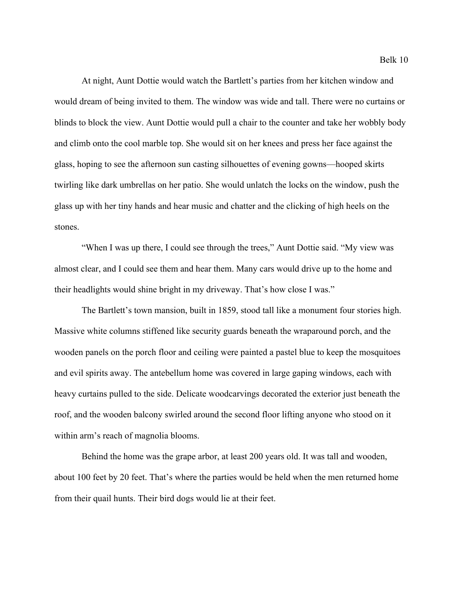At night, Aunt Dottie would watch the Bartlett's parties from her kitchen window and would dream of being invited to them. The window was wide and tall. There were no curtains or blinds to block the view. Aunt Dottie would pull a chair to the counter and take her wobbly body and climb onto the cool marble top. She would sit on her knees and press her face against the glass, hoping to see the afternoon sun casting silhouettes of evening gowns—hooped skirts twirling like dark umbrellas on her patio. She would unlatch the locks on the window, push the glass up with her tiny hands and hear music and chatter and the clicking of high heels on the stones.

"When I was up there, I could see through the trees," Aunt Dottie said. "My view was almost clear, and I could see them and hear them. Many cars would drive up to the home and their headlights would shine bright in my driveway. That's how close I was."

The Bartlett's town mansion, built in 1859, stood tall like a monument four stories high. Massive white columns stiffened like security guards beneath the wraparound porch, and the wooden panels on the porch floor and ceiling were painted a pastel blue to keep the mosquitoes and evil spirits away. The antebellum home was covered in large gaping windows, each with heavy curtains pulled to the side. Delicate woodcarvings decorated the exterior just beneath the roof, and the wooden balcony swirled around the second floor lifting anyone who stood on it within arm's reach of magnolia blooms.

Behind the home was the grape arbor, at least 200 years old. It was tall and wooden, about 100 feet by 20 feet. That's where the parties would be held when the men returned home from their quail hunts. Their bird dogs would lie at their feet.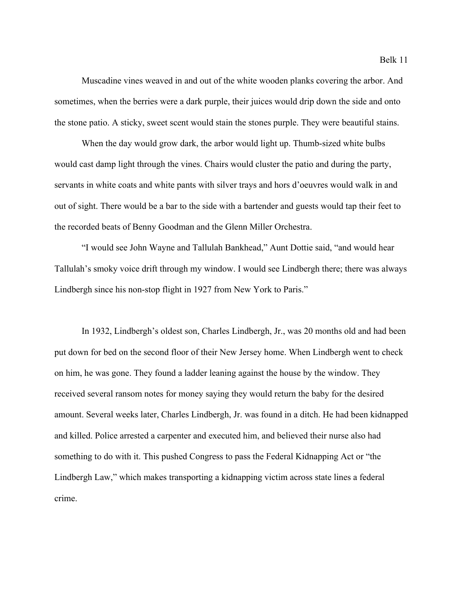Muscadine vines weaved in and out of the white wooden planks covering the arbor. And sometimes, when the berries were a dark purple, their juices would drip down the side and onto the stone patio. A sticky, sweet scent would stain the stones purple. They were beautiful stains.

When the day would grow dark, the arbor would light up. Thumb-sized white bulbs would cast damp light through the vines. Chairs would cluster the patio and during the party, servants in white coats and white pants with silver trays and hors d'oeuvres would walk in and out of sight. There would be a bar to the side with a bartender and guests would tap their feet to the recorded beats of Benny Goodman and the Glenn Miller Orchestra.

"I would see John Wayne and Tallulah Bankhead," Aunt Dottie said, "and would hear Tallulah's smoky voice drift through my window. I would see Lindbergh there; there was always Lindbergh since his non-stop flight in 1927 from New York to Paris."

In 1932, Lindbergh's oldest son, Charles Lindbergh, Jr., was 20 months old and had been put down for bed on the second floor of their New Jersey home. When Lindbergh went to check on him, he was gone. They found a ladder leaning against the house by the window. They received several ransom notes for money saying they would return the baby for the desired amount. Several weeks later, Charles Lindbergh, Jr. was found in a ditch. He had been kidnapped and killed. Police arrested a carpenter and executed him, and believed their nurse also had something to do with it. This pushed Congress to pass the Federal Kidnapping Act or "the Lindbergh Law," which makes transporting a kidnapping victim across state lines a federal crime.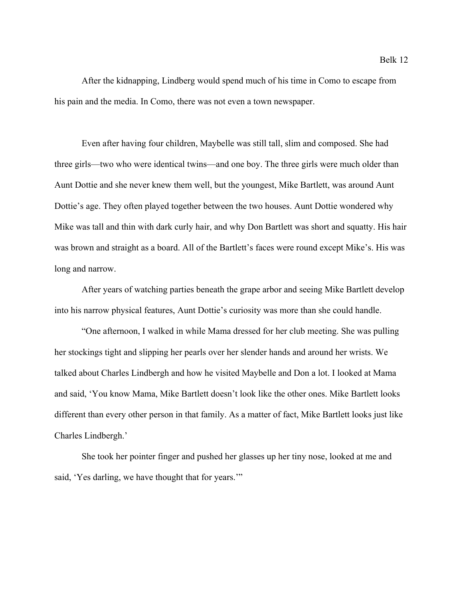After the kidnapping, Lindberg would spend much of his time in Como to escape from his pain and the media. In Como, there was not even a town newspaper.

Even after having four children, Maybelle was still tall, slim and composed. She had three girls—two who were identical twins—and one boy. The three girls were much older than Aunt Dottie and she never knew them well, but the youngest, Mike Bartlett, was around Aunt Dottie's age. They often played together between the two houses. Aunt Dottie wondered why Mike was tall and thin with dark curly hair, and why Don Bartlett was short and squatty. His hair was brown and straight as a board. All of the Bartlett's faces were round except Mike's. His was long and narrow.

After years of watching parties beneath the grape arbor and seeing Mike Bartlett develop into his narrow physical features, Aunt Dottie's curiosity was more than she could handle.

"One afternoon, I walked in while Mama dressed for her club meeting. She was pulling her stockings tight and slipping her pearls over her slender hands and around her wrists. We talked about Charles Lindbergh and how he visited Maybelle and Don a lot. I looked at Mama and said, 'You know Mama, Mike Bartlett doesn't look like the other ones. Mike Bartlett looks different than every other person in that family. As a matter of fact, Mike Bartlett looks just like Charles Lindbergh.'

She took her pointer finger and pushed her glasses up her tiny nose, looked at me and said, 'Yes darling, we have thought that for years.'"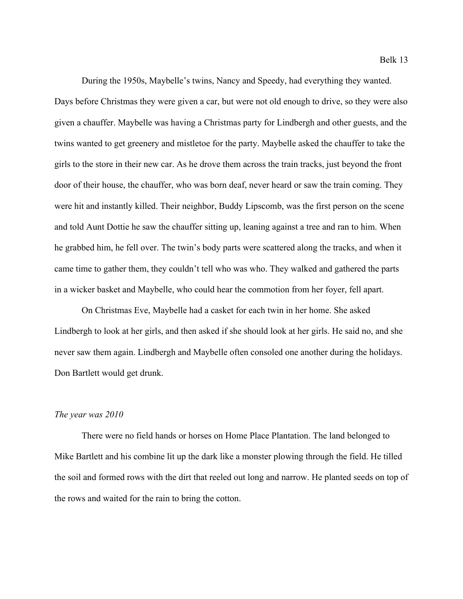During the 1950s, Maybelle's twins, Nancy and Speedy, had everything they wanted. Days before Christmas they were given a car, but were not old enough to drive, so they were also

given a chauffer. Maybelle was having a Christmas party for Lindbergh and other guests, and the twins wanted to get greenery and mistletoe for the party. Maybelle asked the chauffer to take the girls to the store in their new car. As he drove them across the train tracks, just beyond the front door of their house, the chauffer, who was born deaf, never heard or saw the train coming. They were hit and instantly killed. Their neighbor, Buddy Lipscomb, was the first person on the scene and told Aunt Dottie he saw the chauffer sitting up, leaning against a tree and ran to him. When he grabbed him, he fell over. The twin's body parts were scattered along the tracks, and when it came time to gather them, they couldn't tell who was who. They walked and gathered the parts in a wicker basket and Maybelle, who could hear the commotion from her foyer, fell apart.

On Christmas Eve, Maybelle had a casket for each twin in her home. She asked Lindbergh to look at her girls, and then asked if she should look at her girls. He said no, and she never saw them again. Lindbergh and Maybelle often consoled one another during the holidays. Don Bartlett would get drunk.

#### *The year was 2010*

There were no field hands or horses on Home Place Plantation. The land belonged to Mike Bartlett and his combine lit up the dark like a monster plowing through the field. He tilled the soil and formed rows with the dirt that reeled out long and narrow. He planted seeds on top of the rows and waited for the rain to bring the cotton.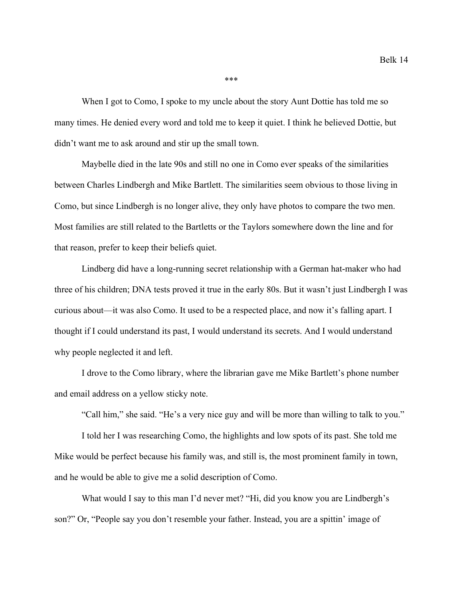\*\*\*

When I got to Como, I spoke to my uncle about the story Aunt Dottie has told me so many times. He denied every word and told me to keep it quiet. I think he believed Dottie, but didn't want me to ask around and stir up the small town.

Maybelle died in the late 90s and still no one in Como ever speaks of the similarities between Charles Lindbergh and Mike Bartlett. The similarities seem obvious to those living in Como, but since Lindbergh is no longer alive, they only have photos to compare the two men. Most families are still related to the Bartletts or the Taylors somewhere down the line and for that reason, prefer to keep their beliefs quiet.

Lindberg did have a long-running secret relationship with a German hat-maker who had three of his children; DNA tests proved it true in the early 80s. But it wasn't just Lindbergh I was curious about—it was also Como. It used to be a respected place, and now it's falling apart. I thought if I could understand its past, I would understand its secrets. And I would understand why people neglected it and left.

I drove to the Como library, where the librarian gave me Mike Bartlett's phone number and email address on a yellow sticky note.

"Call him," she said. "He's a very nice guy and will be more than willing to talk to you."

I told her I was researching Como, the highlights and low spots of its past. She told me Mike would be perfect because his family was, and still is, the most prominent family in town, and he would be able to give me a solid description of Como.

What would I say to this man I'd never met? "Hi, did you know you are Lindbergh's son?" Or, "People say you don't resemble your father. Instead, you are a spittin' image of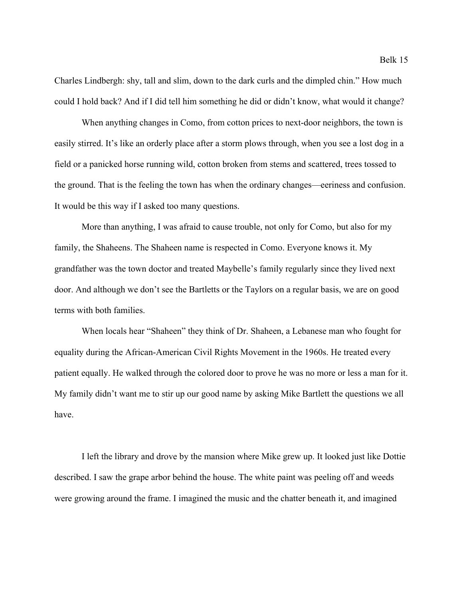Charles Lindbergh: shy, tall and slim, down to the dark curls and the dimpled chin." How much could I hold back? And if I did tell him something he did or didn't know, what would it change?

When anything changes in Como, from cotton prices to next-door neighbors, the town is easily stirred. It's like an orderly place after a storm plows through, when you see a lost dog in a field or a panicked horse running wild, cotton broken from stems and scattered, trees tossed to the ground. That is the feeling the town has when the ordinary changes—eeriness and confusion. It would be this way if I asked too many questions.

More than anything, I was afraid to cause trouble, not only for Como, but also for my family, the Shaheens. The Shaheen name is respected in Como. Everyone knows it. My grandfather was the town doctor and treated Maybelle's family regularly since they lived next door. And although we don't see the Bartletts or the Taylors on a regular basis, we are on good terms with both families.

When locals hear "Shaheen" they think of Dr. Shaheen, a Lebanese man who fought for equality during the African-American Civil Rights Movement in the 1960s. He treated every patient equally. He walked through the colored door to prove he was no more or less a man for it. My family didn't want me to stir up our good name by asking Mike Bartlett the questions we all have.

I left the library and drove by the mansion where Mike grew up. It looked just like Dottie described. I saw the grape arbor behind the house. The white paint was peeling off and weeds were growing around the frame. I imagined the music and the chatter beneath it, and imagined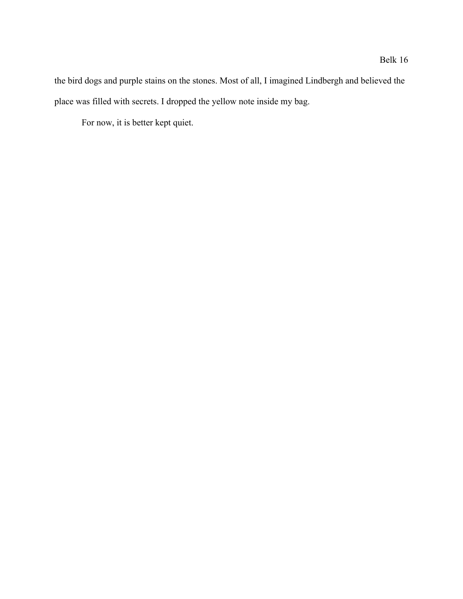the bird dogs and purple stains on the stones. Most of all, I imagined Lindbergh and believed the place was filled with secrets. I dropped the yellow note inside my bag.

For now, it is better kept quiet.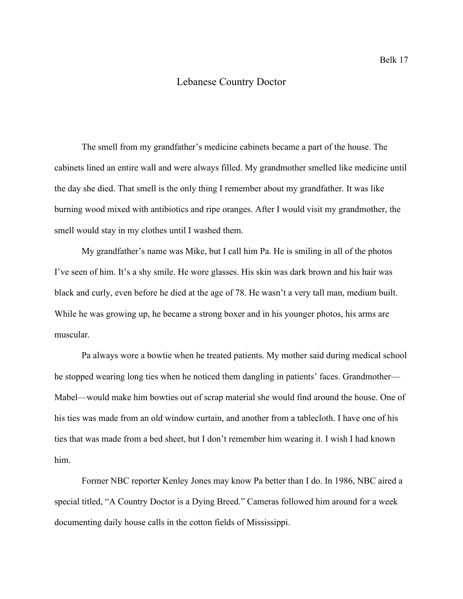#### Lebanese Country Doctor

The smell from my grandfather's medicine cabinets became a part of the house. The cabinets lined an entire wall and were always filled. My grandmother smelled like medicine until the day she died. That smell is the only thing I remember about my grandfather. It was like burning wood mixed with antibiotics and ripe oranges. After I would visit my grandmother, the smell would stay in my clothes until I washed them.

My grandfather's name was Mike, but I call him Pa. He is smiling in all of the photos I've seen of him. It's a shy smile. He wore glasses. His skin was dark brown and his hair was black and curly, even before he died at the age of 78. He wasn't a very tall man, medium built. While he was growing up, he became a strong boxer and in his younger photos, his arms are muscular.

Pa always wore a bowtie when he treated patients. My mother said during medical school he stopped wearing long ties when he noticed them dangling in patients' faces. Grandmother— Mabel—would make him bowties out of scrap material she would find around the house. One of his ties was made from an old window curtain, and another from a tablecloth. I have one of his ties that was made from a bed sheet, but I don't remember him wearing it. I wish I had known him.

Former NBC reporter Kenley Jones may know Pa better than I do. In 1986, NBC aired a special titled, "A Country Doctor is a Dying Breed." Cameras followed him around for a week documenting daily house calls in the cotton fields of Mississippi.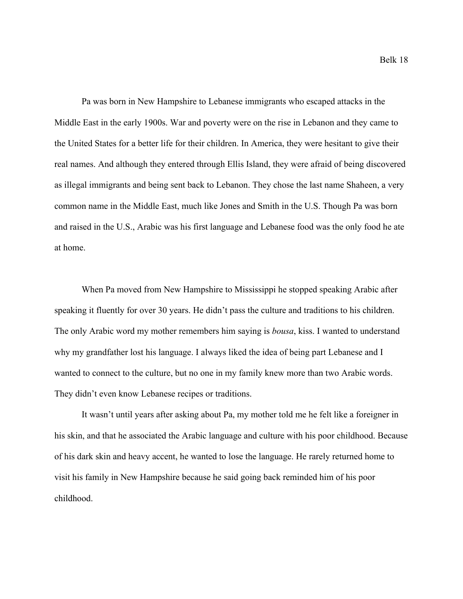Pa was born in New Hampshire to Lebanese immigrants who escaped attacks in the Middle East in the early 1900s. War and poverty were on the rise in Lebanon and they came to the United States for a better life for their children. In America, they were hesitant to give their real names. And although they entered through Ellis Island, they were afraid of being discovered as illegal immigrants and being sent back to Lebanon. They chose the last name Shaheen, a very common name in the Middle East, much like Jones and Smith in the U.S. Though Pa was born and raised in the U.S., Arabic was his first language and Lebanese food was the only food he ate at home.

When Pa moved from New Hampshire to Mississippi he stopped speaking Arabic after speaking it fluently for over 30 years. He didn't pass the culture and traditions to his children. The only Arabic word my mother remembers him saying is *bousa*, kiss. I wanted to understand why my grandfather lost his language. I always liked the idea of being part Lebanese and I wanted to connect to the culture, but no one in my family knew more than two Arabic words. They didn't even know Lebanese recipes or traditions.

It wasn't until years after asking about Pa, my mother told me he felt like a foreigner in his skin, and that he associated the Arabic language and culture with his poor childhood. Because of his dark skin and heavy accent, he wanted to lose the language. He rarely returned home to visit his family in New Hampshire because he said going back reminded him of his poor childhood.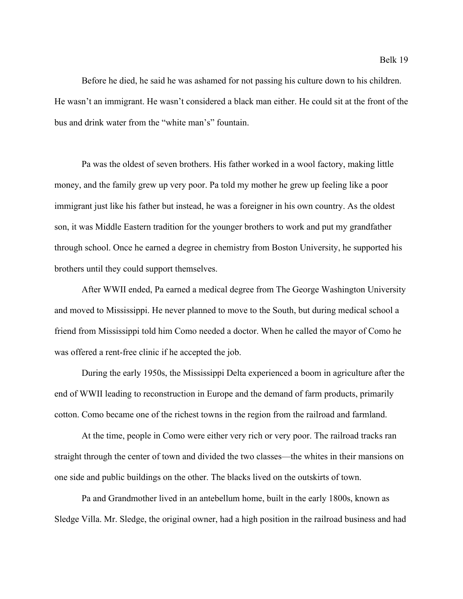Before he died, he said he was ashamed for not passing his culture down to his children. He wasn't an immigrant. He wasn't considered a black man either. He could sit at the front of the bus and drink water from the "white man's" fountain.

Pa was the oldest of seven brothers. His father worked in a wool factory, making little money, and the family grew up very poor. Pa told my mother he grew up feeling like a poor immigrant just like his father but instead, he was a foreigner in his own country. As the oldest son, it was Middle Eastern tradition for the younger brothers to work and put my grandfather through school. Once he earned a degree in chemistry from Boston University, he supported his brothers until they could support themselves.

After WWII ended, Pa earned a medical degree from The George Washington University and moved to Mississippi. He never planned to move to the South, but during medical school a friend from Mississippi told him Como needed a doctor. When he called the mayor of Como he was offered a rent-free clinic if he accepted the job.

During the early 1950s, the Mississippi Delta experienced a boom in agriculture after the end of WWII leading to reconstruction in Europe and the demand of farm products, primarily cotton. Como became one of the richest towns in the region from the railroad and farmland.

At the time, people in Como were either very rich or very poor. The railroad tracks ran straight through the center of town and divided the two classes—the whites in their mansions on one side and public buildings on the other. The blacks lived on the outskirts of town.

Pa and Grandmother lived in an antebellum home, built in the early 1800s, known as Sledge Villa. Mr. Sledge, the original owner, had a high position in the railroad business and had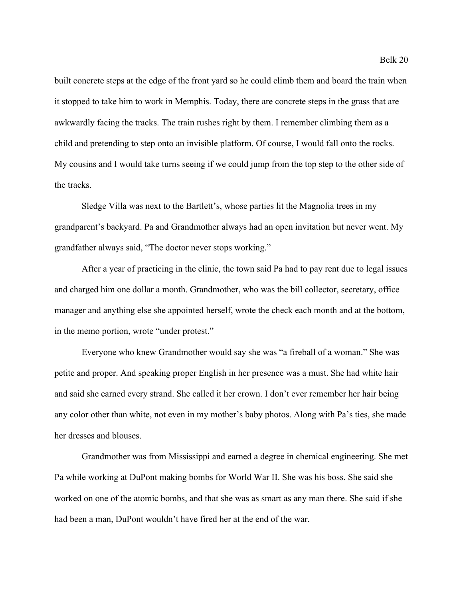built concrete steps at the edge of the front yard so he could climb them and board the train when it stopped to take him to work in Memphis. Today, there are concrete steps in the grass that are awkwardly facing the tracks. The train rushes right by them. I remember climbing them as a child and pretending to step onto an invisible platform. Of course, I would fall onto the rocks. My cousins and I would take turns seeing if we could jump from the top step to the other side of the tracks.

Sledge Villa was next to the Bartlett's, whose parties lit the Magnolia trees in my grandparent's backyard. Pa and Grandmother always had an open invitation but never went. My grandfather always said, "The doctor never stops working."

After a year of practicing in the clinic, the town said Pa had to pay rent due to legal issues and charged him one dollar a month. Grandmother, who was the bill collector, secretary, office manager and anything else she appointed herself, wrote the check each month and at the bottom, in the memo portion, wrote "under protest."

Everyone who knew Grandmother would say she was "a fireball of a woman." She was petite and proper. And speaking proper English in her presence was a must. She had white hair and said she earned every strand. She called it her crown. I don't ever remember her hair being any color other than white, not even in my mother's baby photos. Along with Pa's ties, she made her dresses and blouses.

Grandmother was from Mississippi and earned a degree in chemical engineering. She met Pa while working at DuPont making bombs for World War II. She was his boss. She said she worked on one of the atomic bombs, and that she was as smart as any man there. She said if she had been a man, DuPont wouldn't have fired her at the end of the war.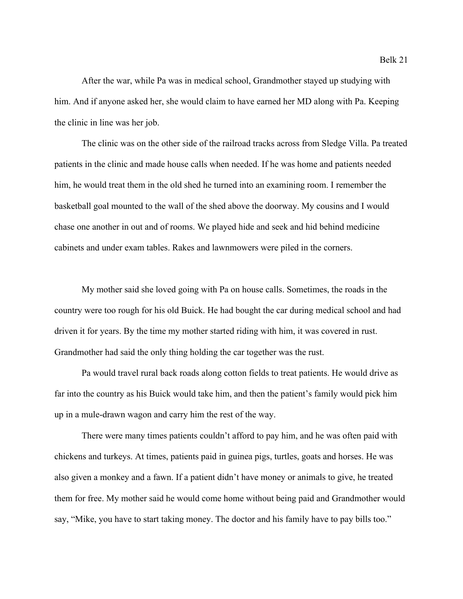After the war, while Pa was in medical school, Grandmother stayed up studying with him. And if anyone asked her, she would claim to have earned her MD along with Pa. Keeping the clinic in line was her job.

The clinic was on the other side of the railroad tracks across from Sledge Villa. Pa treated patients in the clinic and made house calls when needed. If he was home and patients needed him, he would treat them in the old shed he turned into an examining room. I remember the basketball goal mounted to the wall of the shed above the doorway. My cousins and I would chase one another in out and of rooms. We played hide and seek and hid behind medicine cabinets and under exam tables. Rakes and lawnmowers were piled in the corners.

My mother said she loved going with Pa on house calls. Sometimes, the roads in the country were too rough for his old Buick. He had bought the car during medical school and had driven it for years. By the time my mother started riding with him, it was covered in rust. Grandmother had said the only thing holding the car together was the rust.

Pa would travel rural back roads along cotton fields to treat patients. He would drive as far into the country as his Buick would take him, and then the patient's family would pick him up in a mule-drawn wagon and carry him the rest of the way.

There were many times patients couldn't afford to pay him, and he was often paid with chickens and turkeys. At times, patients paid in guinea pigs, turtles, goats and horses. He was also given a monkey and a fawn. If a patient didn't have money or animals to give, he treated them for free. My mother said he would come home without being paid and Grandmother would say, "Mike, you have to start taking money. The doctor and his family have to pay bills too."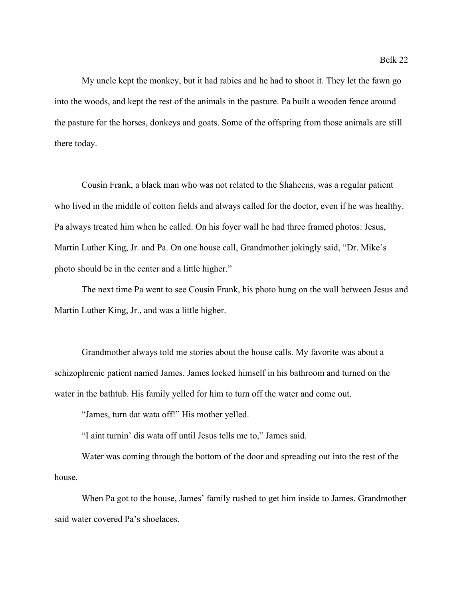My uncle kept the monkey, but it had rabies and he had to shoot it. They let the fawn go into the woods, and kept the rest of the animals in the pasture. Pa built a wooden fence around the pasture for the horses, donkeys and goats. Some of the offspring from those animals are still there today.

Cousin Frank, a black man who was not related to the Shaheens, was a regular patient who lived in the middle of cotton fields and always called for the doctor, even if he was healthy. Pa always treated him when he called. On his foyer wall he had three framed photos: Jesus, Martin Luther King, Jr. and Pa. On one house call, Grandmother jokingly said, "Dr. Mike's photo should be in the center and a little higher."

The next time Pa went to see Cousin Frank, his photo hung on the wall between Jesus and Martin Luther King, Jr., and was a little higher.

Grandmother always told me stories about the house calls. My favorite was about a schizophrenic patient named James. James locked himself in his bathroom and turned on the water in the bathtub. His family yelled for him to turn off the water and come out.

"James, turn dat wata off!" His mother yelled.

"I aint turnin' dis wata off until Jesus tells me to," James said.

Water was coming through the bottom of the door and spreading out into the rest of the house.

When Pa got to the house, James' family rushed to get him inside to James. Grandmother said water covered Pa's shoelaces.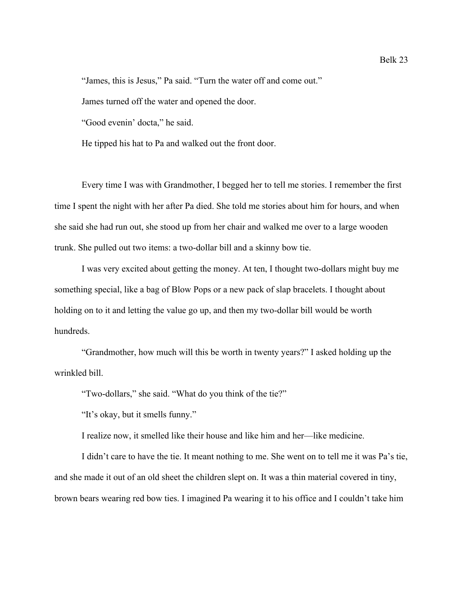"James, this is Jesus," Pa said. "Turn the water off and come out."

James turned off the water and opened the door.

"Good evenin' docta," he said.

He tipped his hat to Pa and walked out the front door.

Every time I was with Grandmother, I begged her to tell me stories. I remember the first time I spent the night with her after Pa died. She told me stories about him for hours, and when she said she had run out, she stood up from her chair and walked me over to a large wooden trunk. She pulled out two items: a two-dollar bill and a skinny bow tie.

I was very excited about getting the money. At ten, I thought two-dollars might buy me something special, like a bag of Blow Pops or a new pack of slap bracelets. I thought about holding on to it and letting the value go up, and then my two-dollar bill would be worth hundreds.

"Grandmother, how much will this be worth in twenty years?" I asked holding up the wrinkled bill.

"Two-dollars," she said. "What do you think of the tie?"

"It's okay, but it smells funny."

I realize now, it smelled like their house and like him and her—like medicine.

I didn't care to have the tie. It meant nothing to me. She went on to tell me it was Pa's tie, and she made it out of an old sheet the children slept on. It was a thin material covered in tiny, brown bears wearing red bow ties. I imagined Pa wearing it to his office and I couldn't take him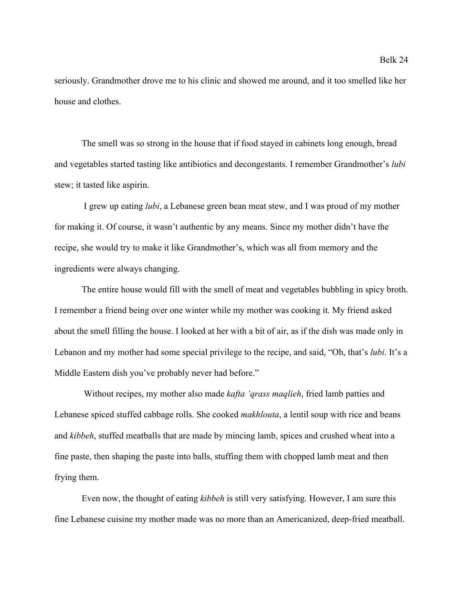seriously. Grandmother drove me to his clinic and showed me around, and it too smelled like her house and clothes.

The smell was so strong in the house that if food stayed in cabinets long enough, bread and vegetables started tasting like antibiotics and decongestants. I remember Grandmother's *lubi* stew; it tasted like aspirin.

 I grew up eating *lubi*, a Lebanese green bean meat stew, and I was proud of my mother for making it. Of course, it wasn't authentic by any means. Since my mother didn't have the recipe, she would try to make it like Grandmother's, which was all from memory and the ingredients were always changing.

The entire house would fill with the smell of meat and vegetables bubbling in spicy broth. I remember a friend being over one winter while my mother was cooking it. My friend asked about the smell filling the house. I looked at her with a bit of air, as if the dish was made only in Lebanon and my mother had some special privilege to the recipe, and said, "Oh, that's *lubi*. It's a Middle Eastern dish you've probably never had before."

 Without recipes, my mother also made *kafta 'qrass maqlieh*, fried lamb patties and Lebanese spiced stuffed cabbage rolls. She cooked *makhlouta*, a lentil soup with rice and beans and *kibbeh*, stuffed meatballs that are made by mincing lamb, spices and crushed wheat into a fine paste, then shaping the paste into balls, stuffing them with chopped lamb meat and then frying them.

Even now, the thought of eating *kibbeh* is still very satisfying. However, I am sure this fine Lebanese cuisine my mother made was no more than an Americanized, deep-fried meatball.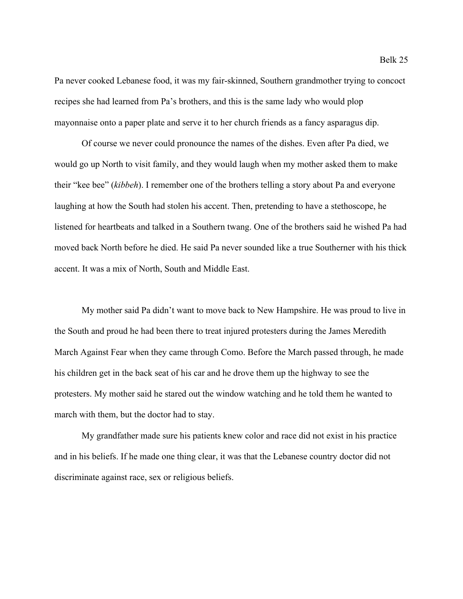Pa never cooked Lebanese food, it was my fair-skinned, Southern grandmother trying to concoct recipes she had learned from Pa's brothers, and this is the same lady who would plop mayonnaise onto a paper plate and serve it to her church friends as a fancy asparagus dip.

Of course we never could pronounce the names of the dishes. Even after Pa died, we would go up North to visit family, and they would laugh when my mother asked them to make their "kee bee" (*kibbeh*). I remember one of the brothers telling a story about Pa and everyone laughing at how the South had stolen his accent. Then, pretending to have a stethoscope, he listened for heartbeats and talked in a Southern twang. One of the brothers said he wished Pa had moved back North before he died. He said Pa never sounded like a true Southerner with his thick accent. It was a mix of North, South and Middle East.

My mother said Pa didn't want to move back to New Hampshire. He was proud to live in the South and proud he had been there to treat injured protesters during the James Meredith March Against Fear when they came through Como. Before the March passed through, he made his children get in the back seat of his car and he drove them up the highway to see the protesters. My mother said he stared out the window watching and he told them he wanted to march with them, but the doctor had to stay.

My grandfather made sure his patients knew color and race did not exist in his practice and in his beliefs. If he made one thing clear, it was that the Lebanese country doctor did not discriminate against race, sex or religious beliefs.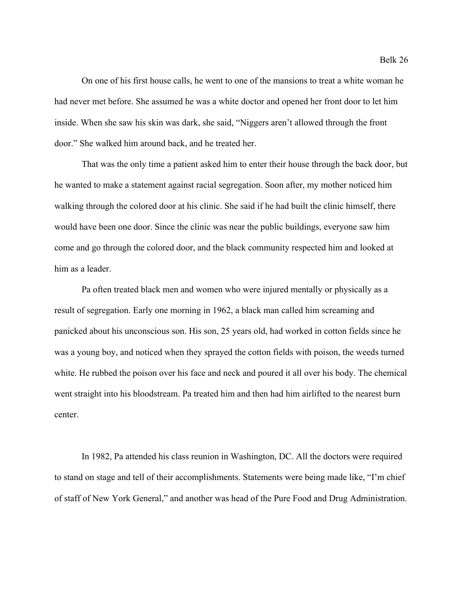On one of his first house calls, he went to one of the mansions to treat a white woman he had never met before. She assumed he was a white doctor and opened her front door to let him inside. When she saw his skin was dark, she said, "Niggers aren't allowed through the front door." She walked him around back, and he treated her.

That was the only time a patient asked him to enter their house through the back door, but he wanted to make a statement against racial segregation. Soon after, my mother noticed him walking through the colored door at his clinic. She said if he had built the clinic himself, there would have been one door. Since the clinic was near the public buildings, everyone saw him come and go through the colored door, and the black community respected him and looked at him as a leader.

Pa often treated black men and women who were injured mentally or physically as a result of segregation. Early one morning in 1962, a black man called him screaming and panicked about his unconscious son. His son, 25 years old, had worked in cotton fields since he was a young boy, and noticed when they sprayed the cotton fields with poison, the weeds turned white. He rubbed the poison over his face and neck and poured it all over his body. The chemical went straight into his bloodstream. Pa treated him and then had him airlifted to the nearest burn center.

In 1982, Pa attended his class reunion in Washington, DC. All the doctors were required to stand on stage and tell of their accomplishments. Statements were being made like, "I'm chief of staff of New York General," and another was head of the Pure Food and Drug Administration.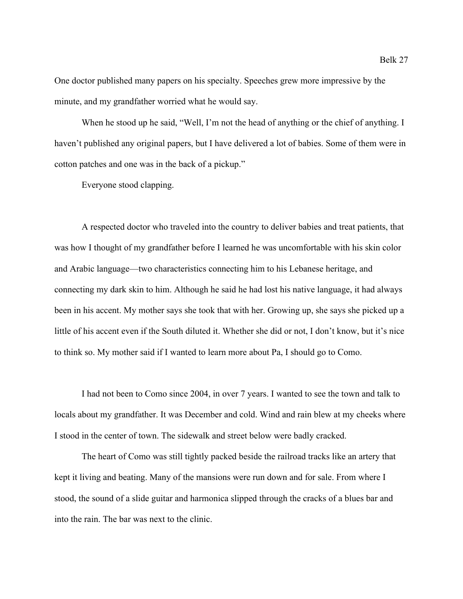One doctor published many papers on his specialty. Speeches grew more impressive by the minute, and my grandfather worried what he would say.

When he stood up he said, "Well, I'm not the head of anything or the chief of anything. I haven't published any original papers, but I have delivered a lot of babies. Some of them were in cotton patches and one was in the back of a pickup."

Everyone stood clapping.

A respected doctor who traveled into the country to deliver babies and treat patients, that was how I thought of my grandfather before I learned he was uncomfortable with his skin color and Arabic language—two characteristics connecting him to his Lebanese heritage, and connecting my dark skin to him. Although he said he had lost his native language, it had always been in his accent. My mother says she took that with her. Growing up, she says she picked up a little of his accent even if the South diluted it. Whether she did or not, I don't know, but it's nice to think so. My mother said if I wanted to learn more about Pa, I should go to Como.

I had not been to Como since 2004, in over 7 years. I wanted to see the town and talk to locals about my grandfather. It was December and cold. Wind and rain blew at my cheeks where I stood in the center of town. The sidewalk and street below were badly cracked.

The heart of Como was still tightly packed beside the railroad tracks like an artery that kept it living and beating. Many of the mansions were run down and for sale. From where I stood, the sound of a slide guitar and harmonica slipped through the cracks of a blues bar and into the rain. The bar was next to the clinic.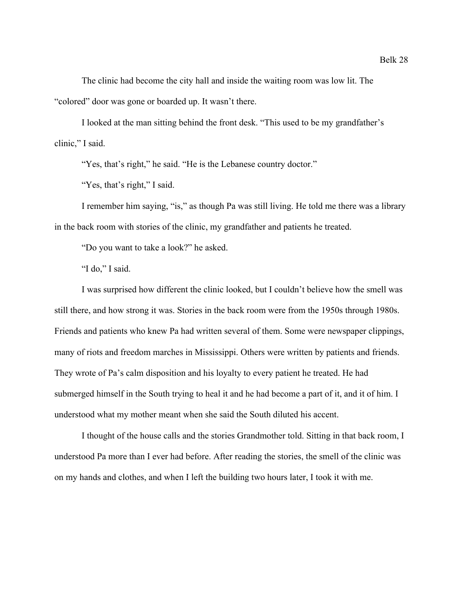The clinic had become the city hall and inside the waiting room was low lit. The "colored" door was gone or boarded up. It wasn't there.

I looked at the man sitting behind the front desk. "This used to be my grandfather's clinic," I said.

"Yes, that's right," he said. "He is the Lebanese country doctor."

"Yes, that's right," I said.

I remember him saying, "is," as though Pa was still living. He told me there was a library in the back room with stories of the clinic, my grandfather and patients he treated.

"Do you want to take a look?" he asked.

"I do," I said.

I was surprised how different the clinic looked, but I couldn't believe how the smell was still there, and how strong it was. Stories in the back room were from the 1950s through 1980s. Friends and patients who knew Pa had written several of them. Some were newspaper clippings, many of riots and freedom marches in Mississippi. Others were written by patients and friends. They wrote of Pa's calm disposition and his loyalty to every patient he treated. He had submerged himself in the South trying to heal it and he had become a part of it, and it of him. I understood what my mother meant when she said the South diluted his accent.

I thought of the house calls and the stories Grandmother told. Sitting in that back room, I understood Pa more than I ever had before. After reading the stories, the smell of the clinic was on my hands and clothes, and when I left the building two hours later, I took it with me.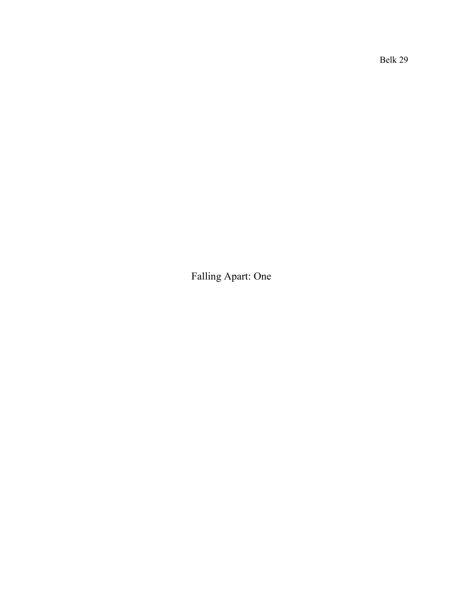Belk 29

Falling Apart: One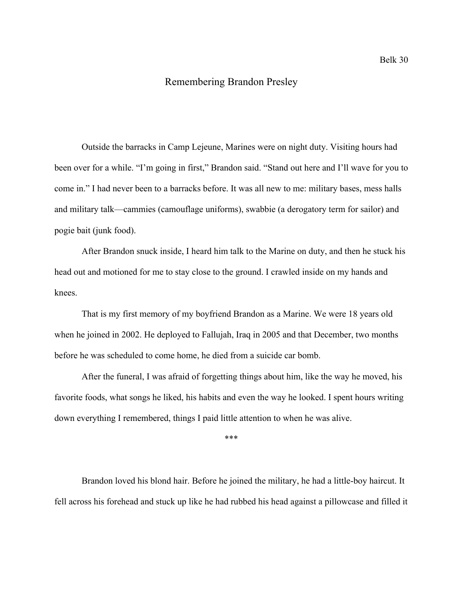### Remembering Brandon Presley

Outside the barracks in Camp Lejeune, Marines were on night duty. Visiting hours had been over for a while. "I'm going in first," Brandon said. "Stand out here and I'll wave for you to come in." I had never been to a barracks before. It was all new to me: military bases, mess halls and military talk—cammies (camouflage uniforms), swabbie (a derogatory term for sailor) and pogie bait (junk food).

After Brandon snuck inside, I heard him talk to the Marine on duty, and then he stuck his head out and motioned for me to stay close to the ground. I crawled inside on my hands and knees.

That is my first memory of my boyfriend Brandon as a Marine. We were 18 years old when he joined in 2002. He deployed to Fallujah, Iraq in 2005 and that December, two months before he was scheduled to come home, he died from a suicide car bomb.

After the funeral, I was afraid of forgetting things about him, like the way he moved, his favorite foods, what songs he liked, his habits and even the way he looked. I spent hours writing down everything I remembered, things I paid little attention to when he was alive.

\*\*\*

Brandon loved his blond hair. Before he joined the military, he had a little-boy haircut. It fell across his forehead and stuck up like he had rubbed his head against a pillowcase and filled it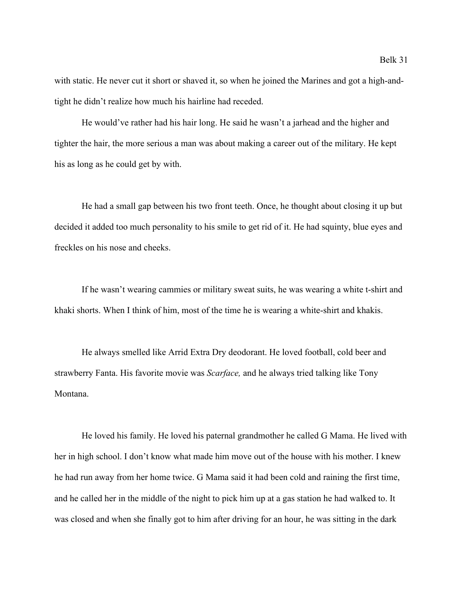with static. He never cut it short or shaved it, so when he joined the Marines and got a high-andtight he didn't realize how much his hairline had receded.

He would've rather had his hair long. He said he wasn't a jarhead and the higher and tighter the hair, the more serious a man was about making a career out of the military. He kept his as long as he could get by with.

He had a small gap between his two front teeth. Once, he thought about closing it up but decided it added too much personality to his smile to get rid of it. He had squinty, blue eyes and freckles on his nose and cheeks.

If he wasn't wearing cammies or military sweat suits, he was wearing a white t-shirt and khaki shorts. When I think of him, most of the time he is wearing a white-shirt and khakis.

He always smelled like Arrid Extra Dry deodorant. He loved football, cold beer and strawberry Fanta. His favorite movie was *Scarface,* and he always tried talking like Tony Montana.

He loved his family. He loved his paternal grandmother he called G Mama. He lived with her in high school. I don't know what made him move out of the house with his mother. I knew he had run away from her home twice. G Mama said it had been cold and raining the first time, and he called her in the middle of the night to pick him up at a gas station he had walked to. It was closed and when she finally got to him after driving for an hour, he was sitting in the dark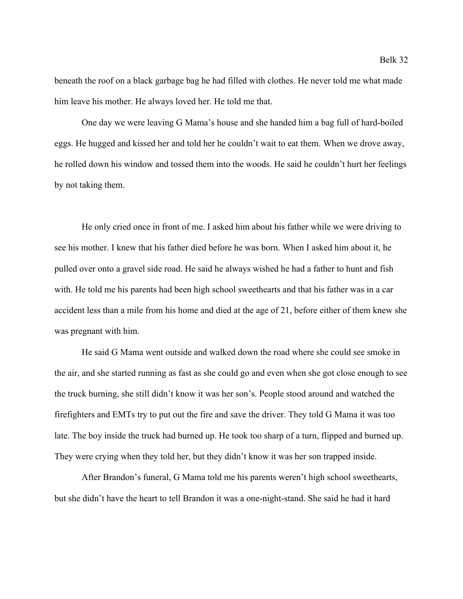beneath the roof on a black garbage bag he had filled with clothes. He never told me what made him leave his mother. He always loved her. He told me that.

One day we were leaving G Mama's house and she handed him a bag full of hard-boiled eggs. He hugged and kissed her and told her he couldn't wait to eat them. When we drove away, he rolled down his window and tossed them into the woods. He said he couldn't hurt her feelings by not taking them.

He only cried once in front of me. I asked him about his father while we were driving to see his mother. I knew that his father died before he was born. When I asked him about it, he pulled over onto a gravel side road. He said he always wished he had a father to hunt and fish with. He told me his parents had been high school sweethearts and that his father was in a car accident less than a mile from his home and died at the age of 21, before either of them knew she was pregnant with him.

He said G Mama went outside and walked down the road where she could see smoke in the air, and she started running as fast as she could go and even when she got close enough to see the truck burning, she still didn't know it was her son's. People stood around and watched the firefighters and EMTs try to put out the fire and save the driver. They told G Mama it was too late. The boy inside the truck had burned up. He took too sharp of a turn, flipped and burned up. They were crying when they told her, but they didn't know it was her son trapped inside.

After Brandon's funeral, G Mama told me his parents weren't high school sweethearts, but she didn't have the heart to tell Brandon it was a one-night-stand. She said he had it hard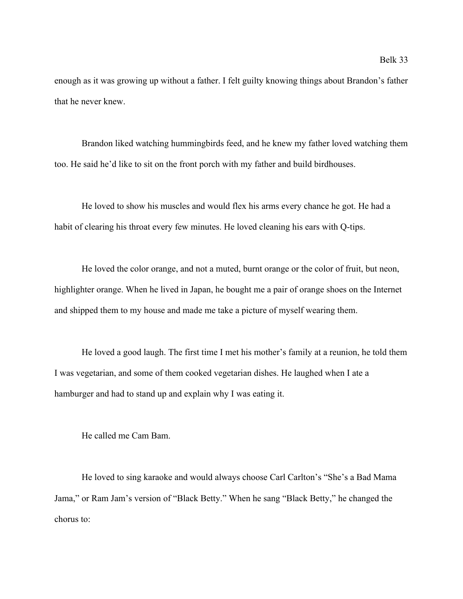enough as it was growing up without a father. I felt guilty knowing things about Brandon's father that he never knew.

Brandon liked watching hummingbirds feed, and he knew my father loved watching them too. He said he'd like to sit on the front porch with my father and build birdhouses.

He loved to show his muscles and would flex his arms every chance he got. He had a habit of clearing his throat every few minutes. He loved cleaning his ears with Q-tips.

He loved the color orange, and not a muted, burnt orange or the color of fruit, but neon, highlighter orange. When he lived in Japan, he bought me a pair of orange shoes on the Internet and shipped them to my house and made me take a picture of myself wearing them.

He loved a good laugh. The first time I met his mother's family at a reunion, he told them I was vegetarian, and some of them cooked vegetarian dishes. He laughed when I ate a hamburger and had to stand up and explain why I was eating it.

He called me Cam Bam.

He loved to sing karaoke and would always choose Carl Carlton's "She's a Bad Mama Jama," or Ram Jam's version of "Black Betty." When he sang "Black Betty," he changed the chorus to: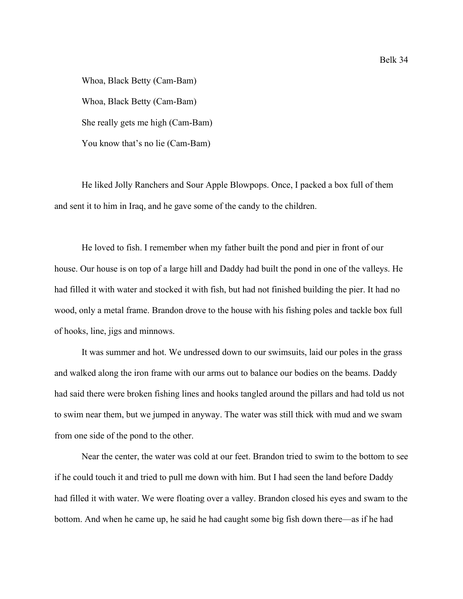Whoa, Black Betty (Cam-Bam) Whoa, Black Betty (Cam-Bam) She really gets me high (Cam-Bam) You know that's no lie (Cam-Bam)

He liked Jolly Ranchers and Sour Apple Blowpops. Once, I packed a box full of them and sent it to him in Iraq, and he gave some of the candy to the children.

He loved to fish. I remember when my father built the pond and pier in front of our house. Our house is on top of a large hill and Daddy had built the pond in one of the valleys. He had filled it with water and stocked it with fish, but had not finished building the pier. It had no wood, only a metal frame. Brandon drove to the house with his fishing poles and tackle box full of hooks, line, jigs and minnows.

It was summer and hot. We undressed down to our swimsuits, laid our poles in the grass and walked along the iron frame with our arms out to balance our bodies on the beams. Daddy had said there were broken fishing lines and hooks tangled around the pillars and had told us not to swim near them, but we jumped in anyway. The water was still thick with mud and we swam from one side of the pond to the other.

Near the center, the water was cold at our feet. Brandon tried to swim to the bottom to see if he could touch it and tried to pull me down with him. But I had seen the land before Daddy had filled it with water. We were floating over a valley. Brandon closed his eyes and swam to the bottom. And when he came up, he said he had caught some big fish down there—as if he had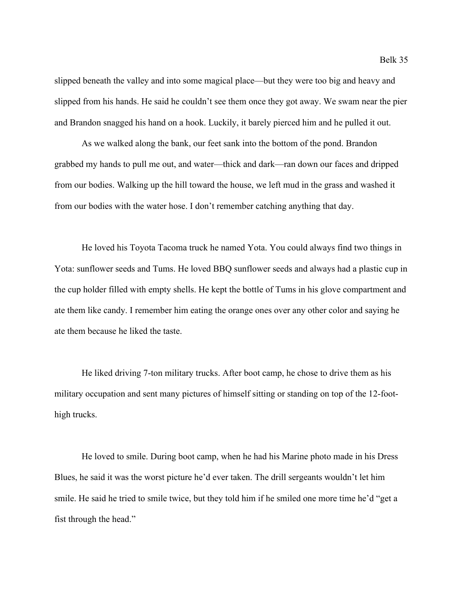slipped beneath the valley and into some magical place—but they were too big and heavy and slipped from his hands. He said he couldn't see them once they got away. We swam near the pier and Brandon snagged his hand on a hook. Luckily, it barely pierced him and he pulled it out.

As we walked along the bank, our feet sank into the bottom of the pond. Brandon grabbed my hands to pull me out, and water—thick and dark—ran down our faces and dripped from our bodies. Walking up the hill toward the house, we left mud in the grass and washed it from our bodies with the water hose. I don't remember catching anything that day.

He loved his Toyota Tacoma truck he named Yota. You could always find two things in Yota: sunflower seeds and Tums. He loved BBQ sunflower seeds and always had a plastic cup in the cup holder filled with empty shells. He kept the bottle of Tums in his glove compartment and ate them like candy. I remember him eating the orange ones over any other color and saying he ate them because he liked the taste.

He liked driving 7-ton military trucks. After boot camp, he chose to drive them as his military occupation and sent many pictures of himself sitting or standing on top of the 12-foothigh trucks.

He loved to smile. During boot camp, when he had his Marine photo made in his Dress Blues, he said it was the worst picture he'd ever taken. The drill sergeants wouldn't let him smile. He said he tried to smile twice, but they told him if he smiled one more time he'd "get a fist through the head."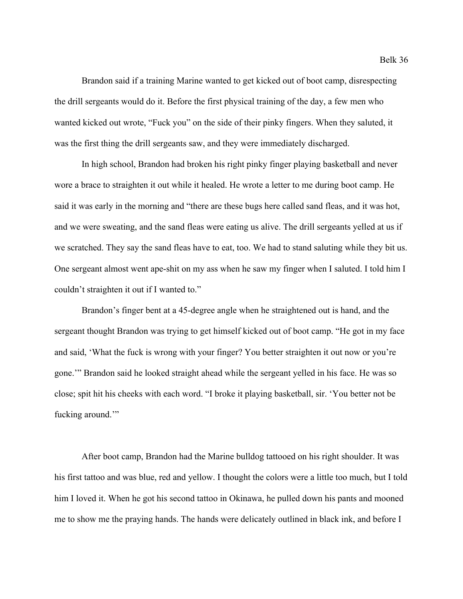Brandon said if a training Marine wanted to get kicked out of boot camp, disrespecting the drill sergeants would do it. Before the first physical training of the day, a few men who wanted kicked out wrote, "Fuck you" on the side of their pinky fingers. When they saluted, it was the first thing the drill sergeants saw, and they were immediately discharged.

In high school, Brandon had broken his right pinky finger playing basketball and never wore a brace to straighten it out while it healed. He wrote a letter to me during boot camp. He said it was early in the morning and "there are these bugs here called sand fleas, and it was hot, and we were sweating, and the sand fleas were eating us alive. The drill sergeants yelled at us if we scratched. They say the sand fleas have to eat, too. We had to stand saluting while they bit us. One sergeant almost went ape-shit on my ass when he saw my finger when I saluted. I told him I couldn't straighten it out if I wanted to."

Brandon's finger bent at a 45-degree angle when he straightened out is hand, and the sergeant thought Brandon was trying to get himself kicked out of boot camp. "He got in my face and said, 'What the fuck is wrong with your finger? You better straighten it out now or you're gone.'" Brandon said he looked straight ahead while the sergeant yelled in his face. He was so close; spit hit his cheeks with each word. "I broke it playing basketball, sir. 'You better not be fucking around."

After boot camp, Brandon had the Marine bulldog tattooed on his right shoulder. It was his first tattoo and was blue, red and yellow. I thought the colors were a little too much, but I told him I loved it. When he got his second tattoo in Okinawa, he pulled down his pants and mooned me to show me the praying hands. The hands were delicately outlined in black ink, and before I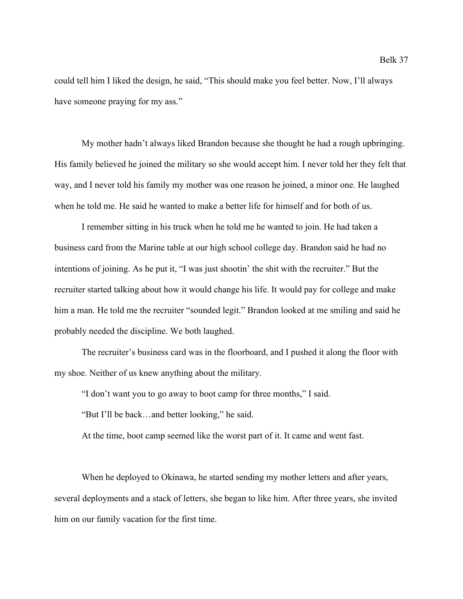could tell him I liked the design, he said, "This should make you feel better. Now, I'll always have someone praying for my ass."

My mother hadn't always liked Brandon because she thought he had a rough upbringing. His family believed he joined the military so she would accept him. I never told her they felt that way, and I never told his family my mother was one reason he joined, a minor one. He laughed when he told me. He said he wanted to make a better life for himself and for both of us.

I remember sitting in his truck when he told me he wanted to join. He had taken a business card from the Marine table at our high school college day. Brandon said he had no intentions of joining. As he put it, "I was just shootin' the shit with the recruiter." But the recruiter started talking about how it would change his life. It would pay for college and make him a man. He told me the recruiter "sounded legit." Brandon looked at me smiling and said he probably needed the discipline. We both laughed.

The recruiter's business card was in the floorboard, and I pushed it along the floor with my shoe. Neither of us knew anything about the military.

"I don't want you to go away to boot camp for three months," I said.

"But I'll be back…and better looking," he said.

At the time, boot camp seemed like the worst part of it. It came and went fast.

When he deployed to Okinawa, he started sending my mother letters and after years, several deployments and a stack of letters, she began to like him. After three years, she invited him on our family vacation for the first time.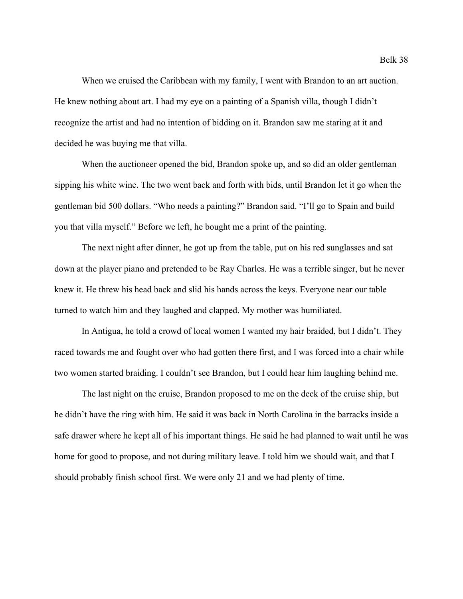When we cruised the Caribbean with my family, I went with Brandon to an art auction. He knew nothing about art. I had my eye on a painting of a Spanish villa, though I didn't recognize the artist and had no intention of bidding on it. Brandon saw me staring at it and decided he was buying me that villa.

When the auctioneer opened the bid, Brandon spoke up, and so did an older gentleman sipping his white wine. The two went back and forth with bids, until Brandon let it go when the gentleman bid 500 dollars. "Who needs a painting?" Brandon said. "I'll go to Spain and build you that villa myself." Before we left, he bought me a print of the painting.

The next night after dinner, he got up from the table, put on his red sunglasses and sat down at the player piano and pretended to be Ray Charles. He was a terrible singer, but he never knew it. He threw his head back and slid his hands across the keys. Everyone near our table turned to watch him and they laughed and clapped. My mother was humiliated.

In Antigua, he told a crowd of local women I wanted my hair braided, but I didn't. They raced towards me and fought over who had gotten there first, and I was forced into a chair while two women started braiding. I couldn't see Brandon, but I could hear him laughing behind me.

The last night on the cruise, Brandon proposed to me on the deck of the cruise ship, but he didn't have the ring with him. He said it was back in North Carolina in the barracks inside a safe drawer where he kept all of his important things. He said he had planned to wait until he was home for good to propose, and not during military leave. I told him we should wait, and that I should probably finish school first. We were only 21 and we had plenty of time.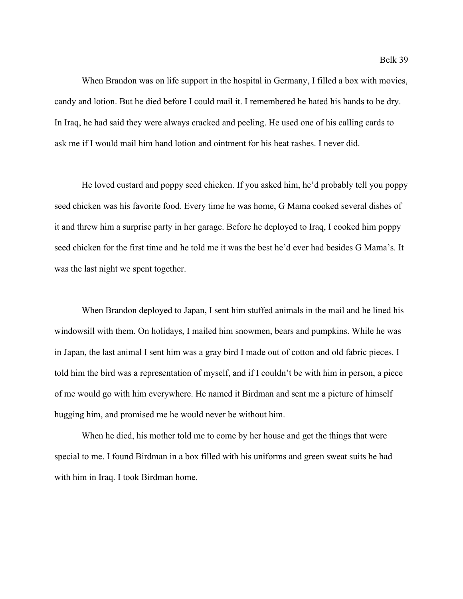When Brandon was on life support in the hospital in Germany, I filled a box with movies, candy and lotion. But he died before I could mail it. I remembered he hated his hands to be dry. In Iraq, he had said they were always cracked and peeling. He used one of his calling cards to ask me if I would mail him hand lotion and ointment for his heat rashes. I never did.

He loved custard and poppy seed chicken. If you asked him, he'd probably tell you poppy seed chicken was his favorite food. Every time he was home, G Mama cooked several dishes of it and threw him a surprise party in her garage. Before he deployed to Iraq, I cooked him poppy seed chicken for the first time and he told me it was the best he'd ever had besides G Mama's. It was the last night we spent together.

When Brandon deployed to Japan, I sent him stuffed animals in the mail and he lined his windowsill with them. On holidays, I mailed him snowmen, bears and pumpkins. While he was in Japan, the last animal I sent him was a gray bird I made out of cotton and old fabric pieces. I told him the bird was a representation of myself, and if I couldn't be with him in person, a piece of me would go with him everywhere. He named it Birdman and sent me a picture of himself hugging him, and promised me he would never be without him.

When he died, his mother told me to come by her house and get the things that were special to me. I found Birdman in a box filled with his uniforms and green sweat suits he had with him in Iraq. I took Birdman home.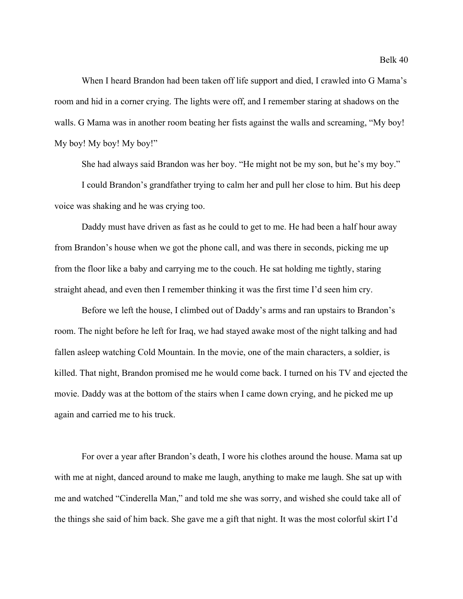When I heard Brandon had been taken off life support and died, I crawled into G Mama's room and hid in a corner crying. The lights were off, and I remember staring at shadows on the walls. G Mama was in another room beating her fists against the walls and screaming, "My boy! My boy! My boy! My boy!"

She had always said Brandon was her boy. "He might not be my son, but he's my boy."

I could Brandon's grandfather trying to calm her and pull her close to him. But his deep voice was shaking and he was crying too.

Daddy must have driven as fast as he could to get to me. He had been a half hour away from Brandon's house when we got the phone call, and was there in seconds, picking me up from the floor like a baby and carrying me to the couch. He sat holding me tightly, staring straight ahead, and even then I remember thinking it was the first time I'd seen him cry.

Before we left the house, I climbed out of Daddy's arms and ran upstairs to Brandon's room. The night before he left for Iraq, we had stayed awake most of the night talking and had fallen asleep watching Cold Mountain. In the movie, one of the main characters, a soldier, is killed. That night, Brandon promised me he would come back. I turned on his TV and ejected the movie. Daddy was at the bottom of the stairs when I came down crying, and he picked me up again and carried me to his truck.

For over a year after Brandon's death, I wore his clothes around the house. Mama sat up with me at night, danced around to make me laugh, anything to make me laugh. She sat up with me and watched "Cinderella Man," and told me she was sorry, and wished she could take all of the things she said of him back. She gave me a gift that night. It was the most colorful skirt I'd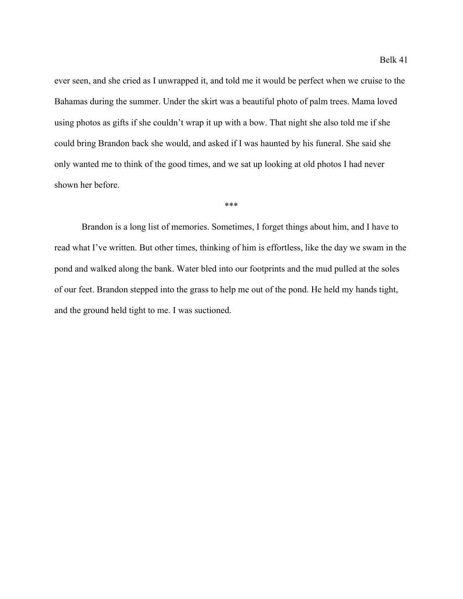ever seen, and she cried as I unwrapped it, and told me it would be perfect when we cruise to the Bahamas during the summer. Under the skirt was a beautiful photo of palm trees. Mama loved using photos as gifts if she couldn't wrap it up with a bow. That night she also told me if she could bring Brandon back she would, and asked if I was haunted by his funeral. She said she only wanted me to think of the good times, and we sat up looking at old photos I had never shown her before.

Brandon is a long list of memories. Sometimes, I forget things about him, and I have to read what I've written. But other times, thinking of him is effortless, like the day we swam in the pond and walked along the bank. Water bled into our footprints and the mud pulled at the soles of our feet. Brandon stepped into the grass to help me out of the pond. He held my hands tight, and the ground held tight to me. I was suctioned.

\*\*\*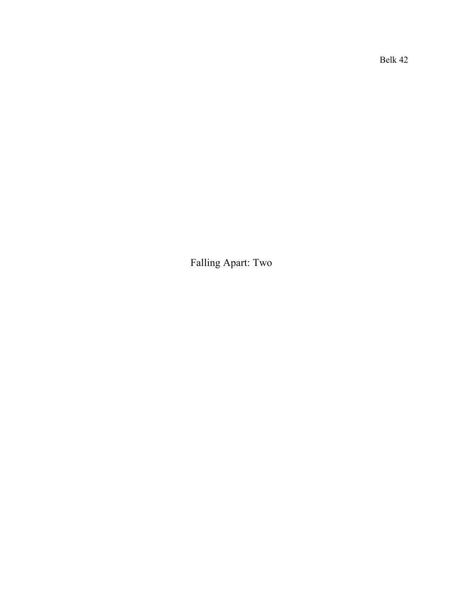Belk 42

Falling Apart: Two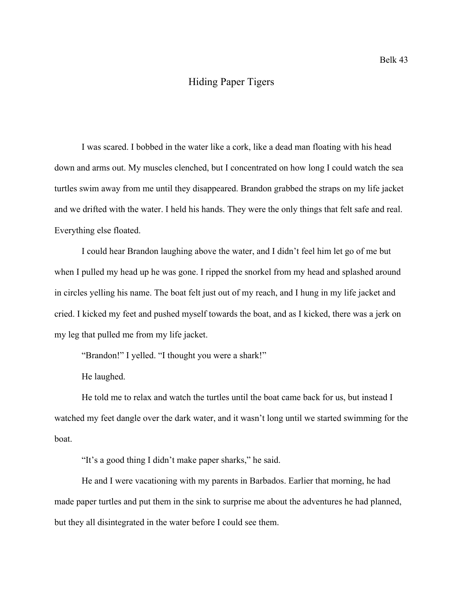### Hiding Paper Tigers

I was scared. I bobbed in the water like a cork, like a dead man floating with his head down and arms out. My muscles clenched, but I concentrated on how long I could watch the sea turtles swim away from me until they disappeared. Brandon grabbed the straps on my life jacket and we drifted with the water. I held his hands. They were the only things that felt safe and real. Everything else floated.

I could hear Brandon laughing above the water, and I didn't feel him let go of me but when I pulled my head up he was gone. I ripped the snorkel from my head and splashed around in circles yelling his name. The boat felt just out of my reach, and I hung in my life jacket and cried. I kicked my feet and pushed myself towards the boat, and as I kicked, there was a jerk on my leg that pulled me from my life jacket.

"Brandon!" I yelled. "I thought you were a shark!"

He laughed.

He told me to relax and watch the turtles until the boat came back for us, but instead I watched my feet dangle over the dark water, and it wasn't long until we started swimming for the boat.

"It's a good thing I didn't make paper sharks," he said.

He and I were vacationing with my parents in Barbados. Earlier that morning, he had made paper turtles and put them in the sink to surprise me about the adventures he had planned, but they all disintegrated in the water before I could see them.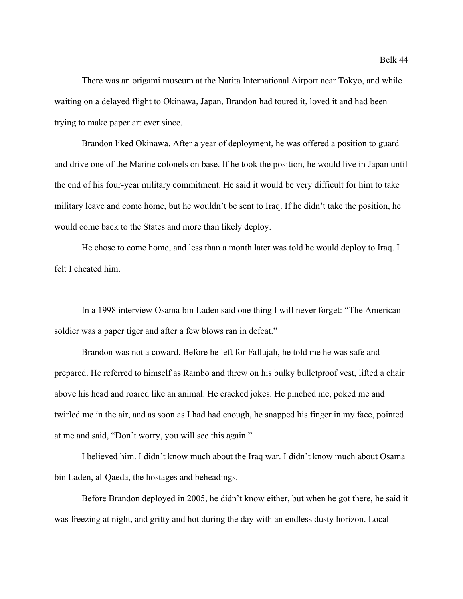There was an origami museum at the Narita International Airport near Tokyo, and while waiting on a delayed flight to Okinawa, Japan, Brandon had toured it, loved it and had been trying to make paper art ever since.

Brandon liked Okinawa. After a year of deployment, he was offered a position to guard and drive one of the Marine colonels on base. If he took the position, he would live in Japan until the end of his four-year military commitment. He said it would be very difficult for him to take military leave and come home, but he wouldn't be sent to Iraq. If he didn't take the position, he would come back to the States and more than likely deploy.

He chose to come home, and less than a month later was told he would deploy to Iraq. I felt I cheated him.

In a 1998 interview Osama bin Laden said one thing I will never forget: "The American soldier was a paper tiger and after a few blows ran in defeat."

Brandon was not a coward. Before he left for Fallujah, he told me he was safe and prepared. He referred to himself as Rambo and threw on his bulky bulletproof vest, lifted a chair above his head and roared like an animal. He cracked jokes. He pinched me, poked me and twirled me in the air, and as soon as I had had enough, he snapped his finger in my face, pointed at me and said, "Don't worry, you will see this again."

I believed him. I didn't know much about the Iraq war. I didn't know much about Osama bin Laden, al-Qaeda, the hostages and beheadings.

Before Brandon deployed in 2005, he didn't know either, but when he got there, he said it was freezing at night, and gritty and hot during the day with an endless dusty horizon. Local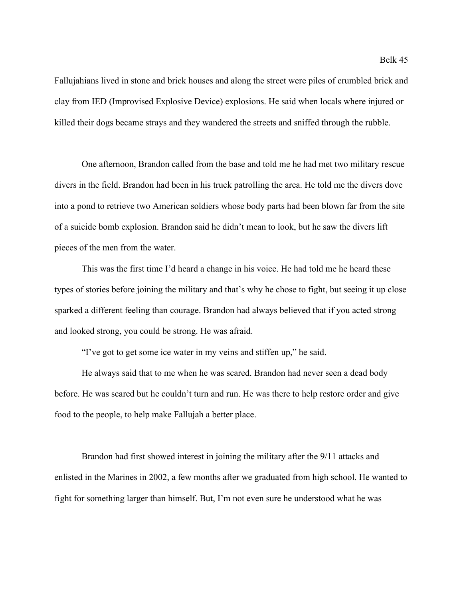Fallujahians lived in stone and brick houses and along the street were piles of crumbled brick and clay from IED (Improvised Explosive Device) explosions. He said when locals where injured or killed their dogs became strays and they wandered the streets and sniffed through the rubble.

One afternoon, Brandon called from the base and told me he had met two military rescue divers in the field. Brandon had been in his truck patrolling the area. He told me the divers dove into a pond to retrieve two American soldiers whose body parts had been blown far from the site of a suicide bomb explosion. Brandon said he didn't mean to look, but he saw the divers lift pieces of the men from the water.

This was the first time I'd heard a change in his voice. He had told me he heard these types of stories before joining the military and that's why he chose to fight, but seeing it up close sparked a different feeling than courage. Brandon had always believed that if you acted strong and looked strong, you could be strong. He was afraid.

"I've got to get some ice water in my veins and stiffen up," he said.

He always said that to me when he was scared. Brandon had never seen a dead body before. He was scared but he couldn't turn and run. He was there to help restore order and give food to the people, to help make Fallujah a better place.

Brandon had first showed interest in joining the military after the 9/11 attacks and enlisted in the Marines in 2002, a few months after we graduated from high school. He wanted to fight for something larger than himself. But, I'm not even sure he understood what he was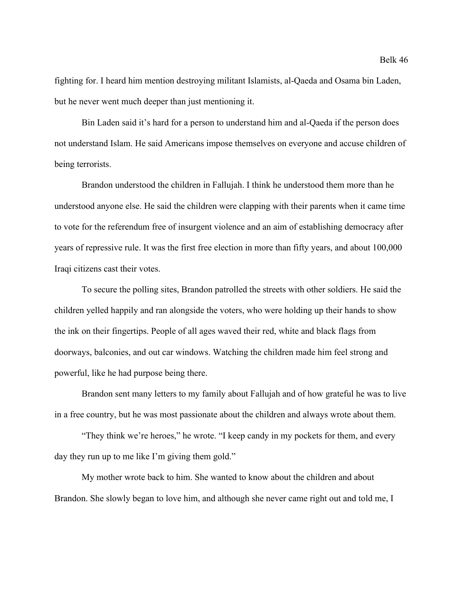fighting for. I heard him mention destroying militant Islamists, al-Qaeda and Osama bin Laden, but he never went much deeper than just mentioning it.

Bin Laden said it's hard for a person to understand him and al-Qaeda if the person does not understand Islam. He said Americans impose themselves on everyone and accuse children of being terrorists.

Brandon understood the children in Fallujah. I think he understood them more than he understood anyone else. He said the children were clapping with their parents when it came time to vote for the referendum free of insurgent violence and an aim of establishing democracy after years of repressive rule. It was the first free election in more than fifty years, and about 100,000 Iraqi citizens cast their votes.

To secure the polling sites, Brandon patrolled the streets with other soldiers. He said the children yelled happily and ran alongside the voters, who were holding up their hands to show the ink on their fingertips. People of all ages waved their red, white and black flags from doorways, balconies, and out car windows. Watching the children made him feel strong and powerful, like he had purpose being there.

Brandon sent many letters to my family about Fallujah and of how grateful he was to live in a free country, but he was most passionate about the children and always wrote about them.

"They think we're heroes," he wrote. "I keep candy in my pockets for them, and every day they run up to me like I'm giving them gold."

My mother wrote back to him. She wanted to know about the children and about Brandon. She slowly began to love him, and although she never came right out and told me, I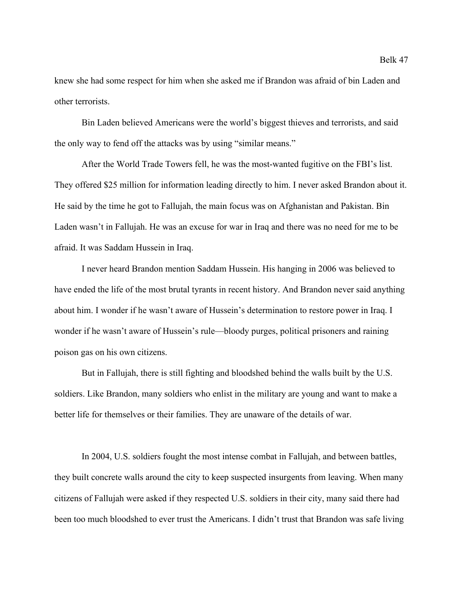knew she had some respect for him when she asked me if Brandon was afraid of bin Laden and other terrorists.

Bin Laden believed Americans were the world's biggest thieves and terrorists, and said the only way to fend off the attacks was by using "similar means."

After the World Trade Towers fell, he was the most-wanted fugitive on the FBI's list. They offered \$25 million for information leading directly to him. I never asked Brandon about it. He said by the time he got to Fallujah, the main focus was on Afghanistan and Pakistan. Bin Laden wasn't in Fallujah. He was an excuse for war in Iraq and there was no need for me to be afraid. It was Saddam Hussein in Iraq.

I never heard Brandon mention Saddam Hussein. His hanging in 2006 was believed to have ended the life of the most brutal tyrants in recent history. And Brandon never said anything about him. I wonder if he wasn't aware of Hussein's determination to restore power in Iraq. I wonder if he wasn't aware of Hussein's rule—bloody purges, political prisoners and raining poison gas on his own citizens.

But in Fallujah, there is still fighting and bloodshed behind the walls built by the U.S. soldiers. Like Brandon, many soldiers who enlist in the military are young and want to make a better life for themselves or their families. They are unaware of the details of war.

In 2004, U.S. soldiers fought the most intense combat in Fallujah, and between battles, they built concrete walls around the city to keep suspected insurgents from leaving. When many citizens of Fallujah were asked if they respected U.S. soldiers in their city, many said there had been too much bloodshed to ever trust the Americans. I didn't trust that Brandon was safe living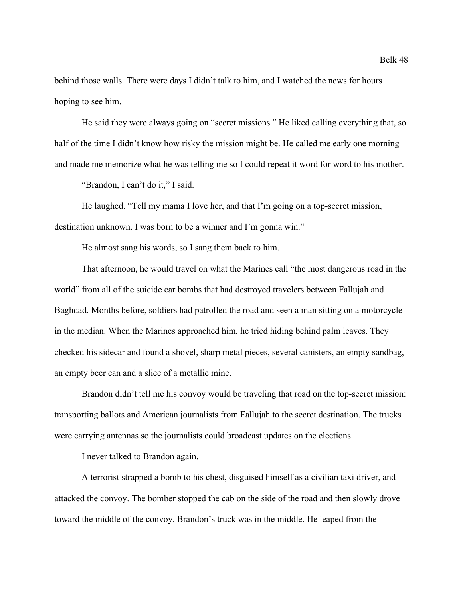behind those walls. There were days I didn't talk to him, and I watched the news for hours hoping to see him.

He said they were always going on "secret missions." He liked calling everything that, so half of the time I didn't know how risky the mission might be. He called me early one morning and made me memorize what he was telling me so I could repeat it word for word to his mother.

"Brandon, I can't do it," I said.

He laughed. "Tell my mama I love her, and that I'm going on a top-secret mission, destination unknown. I was born to be a winner and I'm gonna win."

He almost sang his words, so I sang them back to him.

That afternoon, he would travel on what the Marines call "the most dangerous road in the world" from all of the suicide car bombs that had destroyed travelers between Fallujah and Baghdad. Months before, soldiers had patrolled the road and seen a man sitting on a motorcycle in the median. When the Marines approached him, he tried hiding behind palm leaves. They checked his sidecar and found a shovel, sharp metal pieces, several canisters, an empty sandbag, an empty beer can and a slice of a metallic mine.

Brandon didn't tell me his convoy would be traveling that road on the top-secret mission: transporting ballots and American journalists from Fallujah to the secret destination. The trucks were carrying antennas so the journalists could broadcast updates on the elections.

I never talked to Brandon again.

A terrorist strapped a bomb to his chest, disguised himself as a civilian taxi driver, and attacked the convoy. The bomber stopped the cab on the side of the road and then slowly drove toward the middle of the convoy. Brandon's truck was in the middle. He leaped from the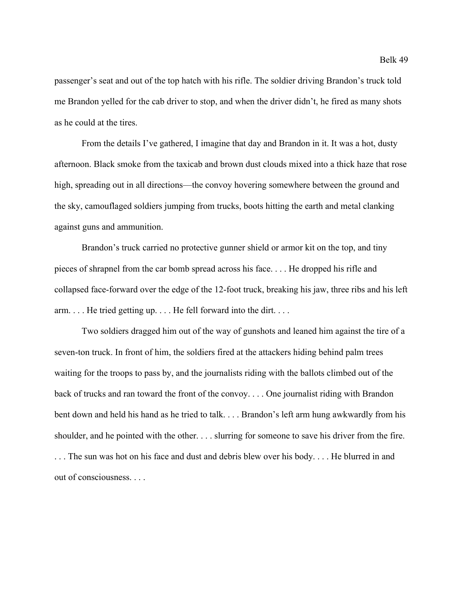passenger's seat and out of the top hatch with his rifle. The soldier driving Brandon's truck told me Brandon yelled for the cab driver to stop, and when the driver didn't, he fired as many shots as he could at the tires.

From the details I've gathered, I imagine that day and Brandon in it. It was a hot, dusty afternoon. Black smoke from the taxicab and brown dust clouds mixed into a thick haze that rose high, spreading out in all directions—the convoy hovering somewhere between the ground and the sky, camouflaged soldiers jumping from trucks, boots hitting the earth and metal clanking against guns and ammunition.

Brandon's truck carried no protective gunner shield or armor kit on the top, and tiny pieces of shrapnel from the car bomb spread across his face. . . . He dropped his rifle and collapsed face-forward over the edge of the 12-foot truck, breaking his jaw, three ribs and his left arm. . . . He tried getting up. . . . He fell forward into the dirt. . . .

Two soldiers dragged him out of the way of gunshots and leaned him against the tire of a seven-ton truck. In front of him, the soldiers fired at the attackers hiding behind palm trees waiting for the troops to pass by, and the journalists riding with the ballots climbed out of the back of trucks and ran toward the front of the convoy. . . . One journalist riding with Brandon bent down and held his hand as he tried to talk. . . . Brandon's left arm hung awkwardly from his shoulder, and he pointed with the other. . . . slurring for someone to save his driver from the fire. . . . The sun was hot on his face and dust and debris blew over his body. . . . He blurred in and out of consciousness. . . .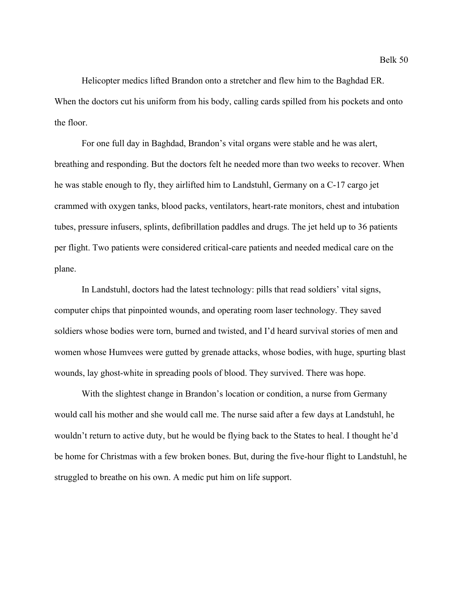Helicopter medics lifted Brandon onto a stretcher and flew him to the Baghdad ER. When the doctors cut his uniform from his body, calling cards spilled from his pockets and onto the floor.

For one full day in Baghdad, Brandon's vital organs were stable and he was alert, breathing and responding. But the doctors felt he needed more than two weeks to recover. When he was stable enough to fly, they airlifted him to Landstuhl, Germany on a C-17 cargo jet crammed with oxygen tanks, blood packs, ventilators, heart-rate monitors, chest and intubation tubes, pressure infusers, splints, defibrillation paddles and drugs. The jet held up to 36 patients per flight. Two patients were considered critical-care patients and needed medical care on the plane.

In Landstuhl, doctors had the latest technology: pills that read soldiers' vital signs, computer chips that pinpointed wounds, and operating room laser technology. They saved soldiers whose bodies were torn, burned and twisted, and I'd heard survival stories of men and women whose Humvees were gutted by grenade attacks, whose bodies, with huge, spurting blast wounds, lay ghost-white in spreading pools of blood. They survived. There was hope.

With the slightest change in Brandon's location or condition, a nurse from Germany would call his mother and she would call me. The nurse said after a few days at Landstuhl, he wouldn't return to active duty, but he would be flying back to the States to heal. I thought he'd be home for Christmas with a few broken bones. But, during the five-hour flight to Landstuhl, he struggled to breathe on his own. A medic put him on life support.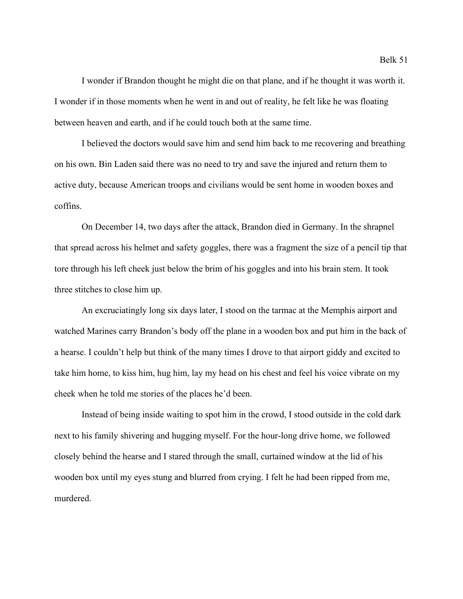I wonder if Brandon thought he might die on that plane, and if he thought it was worth it. I wonder if in those moments when he went in and out of reality, he felt like he was floating between heaven and earth, and if he could touch both at the same time.

I believed the doctors would save him and send him back to me recovering and breathing on his own. Bin Laden said there was no need to try and save the injured and return them to active duty, because American troops and civilians would be sent home in wooden boxes and coffins.

On December 14, two days after the attack, Brandon died in Germany. In the shrapnel that spread across his helmet and safety goggles, there was a fragment the size of a pencil tip that tore through his left cheek just below the brim of his goggles and into his brain stem. It took three stitches to close him up.

An excruciatingly long six days later, I stood on the tarmac at the Memphis airport and watched Marines carry Brandon's body off the plane in a wooden box and put him in the back of a hearse. I couldn't help but think of the many times I drove to that airport giddy and excited to take him home, to kiss him, hug him, lay my head on his chest and feel his voice vibrate on my cheek when he told me stories of the places he'd been.

Instead of being inside waiting to spot him in the crowd, I stood outside in the cold dark next to his family shivering and hugging myself. For the hour-long drive home, we followed closely behind the hearse and I stared through the small, curtained window at the lid of his wooden box until my eyes stung and blurred from crying. I felt he had been ripped from me, murdered.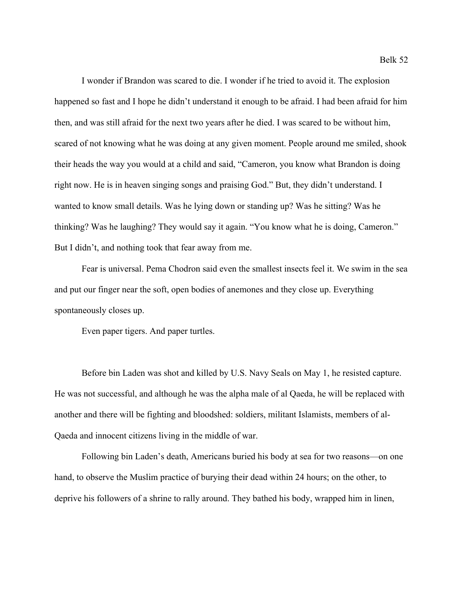I wonder if Brandon was scared to die. I wonder if he tried to avoid it. The explosion happened so fast and I hope he didn't understand it enough to be afraid. I had been afraid for him then, and was still afraid for the next two years after he died. I was scared to be without him, scared of not knowing what he was doing at any given moment. People around me smiled, shook their heads the way you would at a child and said, "Cameron, you know what Brandon is doing right now. He is in heaven singing songs and praising God." But, they didn't understand. I wanted to know small details. Was he lying down or standing up? Was he sitting? Was he thinking? Was he laughing? They would say it again. "You know what he is doing, Cameron." But I didn't, and nothing took that fear away from me.

Fear is universal. Pema Chodron said even the smallest insects feel it. We swim in the sea and put our finger near the soft, open bodies of anemones and they close up. Everything spontaneously closes up.

Even paper tigers. And paper turtles.

Before bin Laden was shot and killed by U.S. Navy Seals on May 1, he resisted capture. He was not successful, and although he was the alpha male of al Qaeda, he will be replaced with another and there will be fighting and bloodshed: soldiers, militant Islamists, members of al-Qaeda and innocent citizens living in the middle of war.

Following bin Laden's death, Americans buried his body at sea for two reasons—on one hand, to observe the Muslim practice of burying their dead within 24 hours; on the other, to deprive his followers of a shrine to rally around. They bathed his body, wrapped him in linen,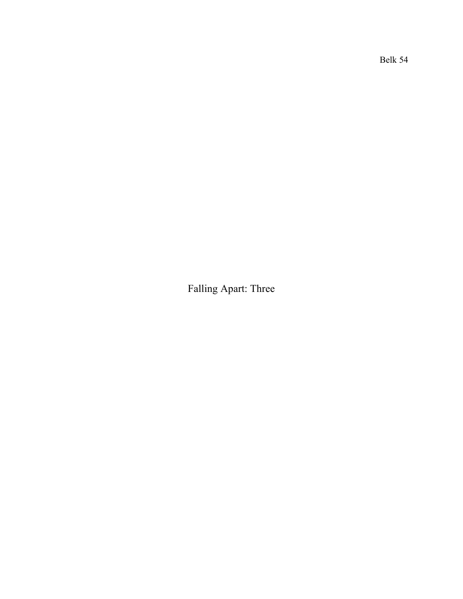Falling Apart: Three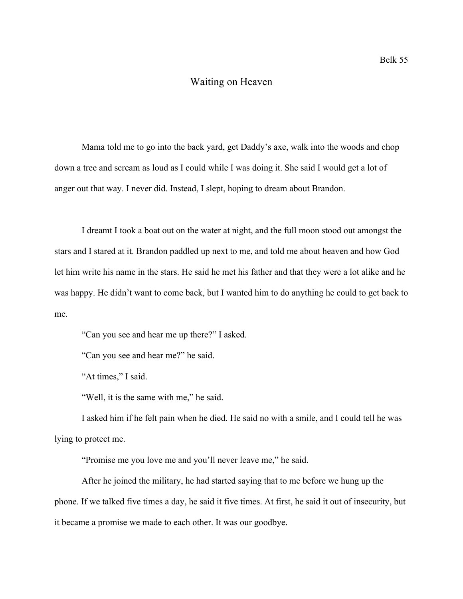### Waiting on Heaven

Mama told me to go into the back yard, get Daddy's axe, walk into the woods and chop down a tree and scream as loud as I could while I was doing it. She said I would get a lot of anger out that way. I never did. Instead, I slept, hoping to dream about Brandon.

I dreamt I took a boat out on the water at night, and the full moon stood out amongst the stars and I stared at it. Brandon paddled up next to me, and told me about heaven and how God let him write his name in the stars. He said he met his father and that they were a lot alike and he was happy. He didn't want to come back, but I wanted him to do anything he could to get back to me.

"Can you see and hear me up there?" I asked.

"Can you see and hear me?" he said.

"At times," I said.

"Well, it is the same with me," he said.

I asked him if he felt pain when he died. He said no with a smile, and I could tell he was lying to protect me.

"Promise me you love me and you'll never leave me," he said.

After he joined the military, he had started saying that to me before we hung up the phone. If we talked five times a day, he said it five times. At first, he said it out of insecurity, but it became a promise we made to each other. It was our goodbye.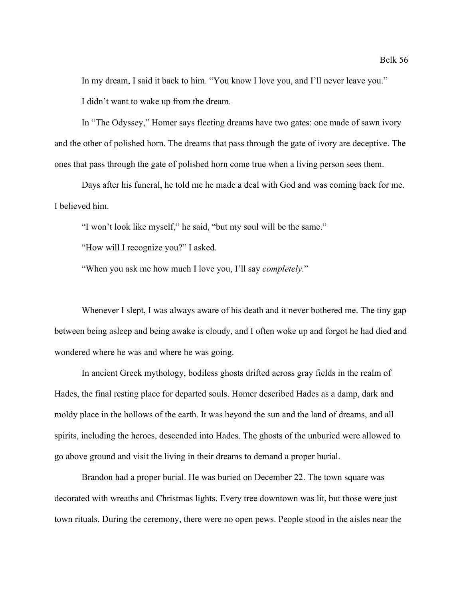In my dream, I said it back to him. "You know I love you, and I'll never leave you." I didn't want to wake up from the dream.

In "The Odyssey," Homer says fleeting dreams have two gates: one made of sawn ivory and the other of polished horn. The dreams that pass through the gate of ivory are deceptive. The ones that pass through the gate of polished horn come true when a living person sees them.

Days after his funeral, he told me he made a deal with God and was coming back for me. I believed him.

"I won't look like myself," he said, "but my soul will be the same."

"How will I recognize you?" I asked.

"When you ask me how much I love you, I'll say *completely*."

Whenever I slept, I was always aware of his death and it never bothered me. The tiny gap between being asleep and being awake is cloudy, and I often woke up and forgot he had died and wondered where he was and where he was going.

In ancient Greek mythology, bodiless ghosts drifted across gray fields in the realm of Hades, the final resting place for departed souls. Homer described Hades as a damp, dark and moldy place in the hollows of the earth. It was beyond the sun and the land of dreams, and all spirits, including the heroes, descended into Hades. The ghosts of the unburied were allowed to go above ground and visit the living in their dreams to demand a proper burial.

Brandon had a proper burial. He was buried on December 22. The town square was decorated with wreaths and Christmas lights. Every tree downtown was lit, but those were just town rituals. During the ceremony, there were no open pews. People stood in the aisles near the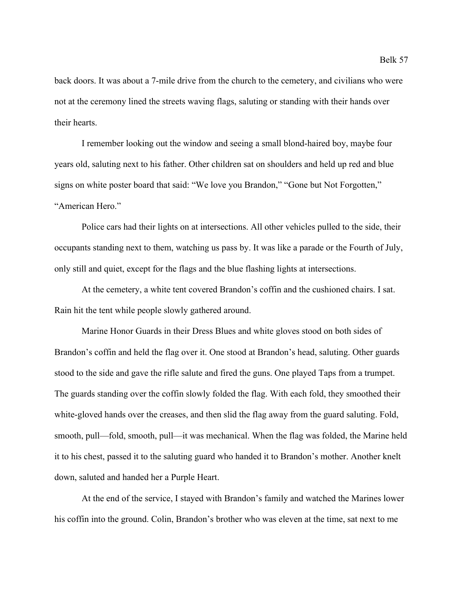back doors. It was about a 7-mile drive from the church to the cemetery, and civilians who were not at the ceremony lined the streets waving flags, saluting or standing with their hands over their hearts.

I remember looking out the window and seeing a small blond-haired boy, maybe four years old, saluting next to his father. Other children sat on shoulders and held up red and blue signs on white poster board that said: "We love you Brandon," "Gone but Not Forgotten," "American Hero."

Police cars had their lights on at intersections. All other vehicles pulled to the side, their occupants standing next to them, watching us pass by. It was like a parade or the Fourth of July, only still and quiet, except for the flags and the blue flashing lights at intersections.

At the cemetery, a white tent covered Brandon's coffin and the cushioned chairs. I sat. Rain hit the tent while people slowly gathered around.

Marine Honor Guards in their Dress Blues and white gloves stood on both sides of Brandon's coffin and held the flag over it. One stood at Brandon's head, saluting. Other guards stood to the side and gave the rifle salute and fired the guns. One played Taps from a trumpet. The guards standing over the coffin slowly folded the flag. With each fold, they smoothed their white-gloved hands over the creases, and then slid the flag away from the guard saluting. Fold, smooth, pull—fold, smooth, pull—it was mechanical. When the flag was folded, the Marine held it to his chest, passed it to the saluting guard who handed it to Brandon's mother. Another knelt down, saluted and handed her a Purple Heart.

At the end of the service, I stayed with Brandon's family and watched the Marines lower his coffin into the ground. Colin, Brandon's brother who was eleven at the time, sat next to me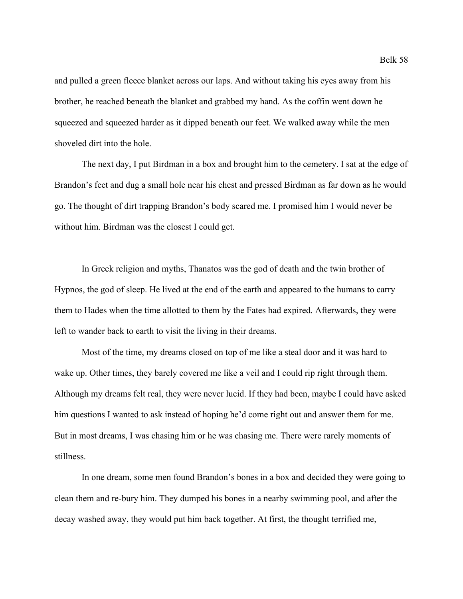and pulled a green fleece blanket across our laps. And without taking his eyes away from his brother, he reached beneath the blanket and grabbed my hand. As the coffin went down he squeezed and squeezed harder as it dipped beneath our feet. We walked away while the men shoveled dirt into the hole.

The next day, I put Birdman in a box and brought him to the cemetery. I sat at the edge of Brandon's feet and dug a small hole near his chest and pressed Birdman as far down as he would go. The thought of dirt trapping Brandon's body scared me. I promised him I would never be without him. Birdman was the closest I could get.

In Greek religion and myths, Thanatos was the god of death and the twin brother of Hypnos, the god of sleep. He lived at the end of the earth and appeared to the humans to carry them to Hades when the time allotted to them by the Fates had expired. Afterwards, they were left to wander back to earth to visit the living in their dreams.

Most of the time, my dreams closed on top of me like a steal door and it was hard to wake up. Other times, they barely covered me like a veil and I could rip right through them. Although my dreams felt real, they were never lucid. If they had been, maybe I could have asked him questions I wanted to ask instead of hoping he'd come right out and answer them for me. But in most dreams, I was chasing him or he was chasing me. There were rarely moments of stillness.

In one dream, some men found Brandon's bones in a box and decided they were going to clean them and re-bury him. They dumped his bones in a nearby swimming pool, and after the decay washed away, they would put him back together. At first, the thought terrified me,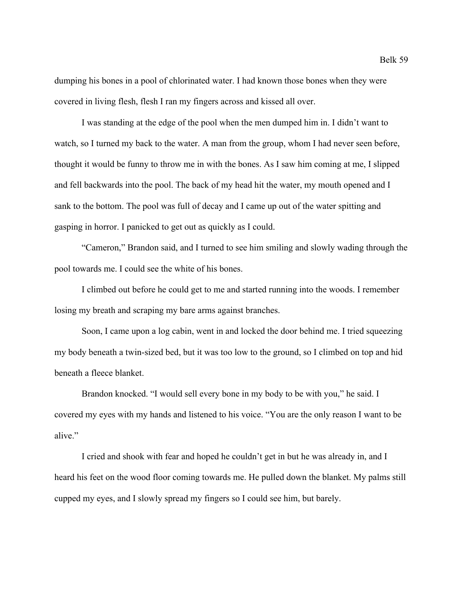dumping his bones in a pool of chlorinated water. I had known those bones when they were covered in living flesh, flesh I ran my fingers across and kissed all over.

I was standing at the edge of the pool when the men dumped him in. I didn't want to watch, so I turned my back to the water. A man from the group, whom I had never seen before, thought it would be funny to throw me in with the bones. As I saw him coming at me, I slipped and fell backwards into the pool. The back of my head hit the water, my mouth opened and I sank to the bottom. The pool was full of decay and I came up out of the water spitting and gasping in horror. I panicked to get out as quickly as I could.

"Cameron," Brandon said, and I turned to see him smiling and slowly wading through the pool towards me. I could see the white of his bones.

I climbed out before he could get to me and started running into the woods. I remember losing my breath and scraping my bare arms against branches.

Soon, I came upon a log cabin, went in and locked the door behind me. I tried squeezing my body beneath a twin-sized bed, but it was too low to the ground, so I climbed on top and hid beneath a fleece blanket.

Brandon knocked. "I would sell every bone in my body to be with you," he said. I covered my eyes with my hands and listened to his voice. "You are the only reason I want to be alive."

I cried and shook with fear and hoped he couldn't get in but he was already in, and I heard his feet on the wood floor coming towards me. He pulled down the blanket. My palms still cupped my eyes, and I slowly spread my fingers so I could see him, but barely.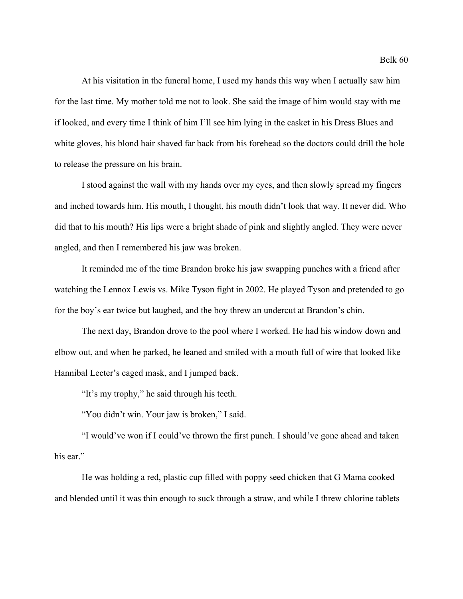At his visitation in the funeral home, I used my hands this way when I actually saw him for the last time. My mother told me not to look. She said the image of him would stay with me if looked, and every time I think of him I'll see him lying in the casket in his Dress Blues and white gloves, his blond hair shaved far back from his forehead so the doctors could drill the hole to release the pressure on his brain.

I stood against the wall with my hands over my eyes, and then slowly spread my fingers and inched towards him. His mouth, I thought, his mouth didn't look that way. It never did. Who did that to his mouth? His lips were a bright shade of pink and slightly angled. They were never angled, and then I remembered his jaw was broken.

It reminded me of the time Brandon broke his jaw swapping punches with a friend after watching the Lennox Lewis vs. Mike Tyson fight in 2002. He played Tyson and pretended to go for the boy's ear twice but laughed, and the boy threw an undercut at Brandon's chin.

The next day, Brandon drove to the pool where I worked. He had his window down and elbow out, and when he parked, he leaned and smiled with a mouth full of wire that looked like Hannibal Lecter's caged mask, and I jumped back.

"It's my trophy," he said through his teeth.

"You didn't win. Your jaw is broken," I said.

"I would've won if I could've thrown the first punch. I should've gone ahead and taken his ear."

He was holding a red, plastic cup filled with poppy seed chicken that G Mama cooked and blended until it was thin enough to suck through a straw, and while I threw chlorine tablets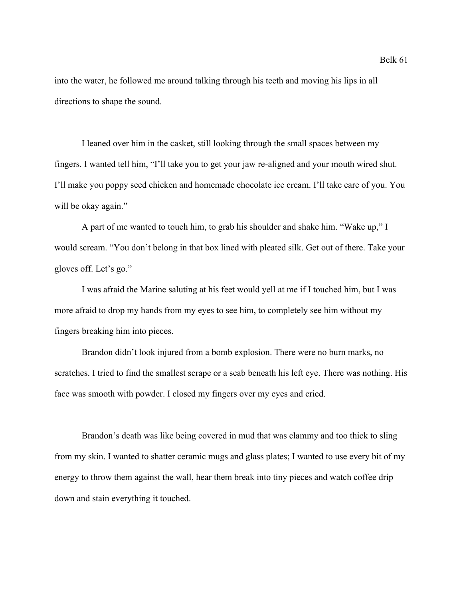into the water, he followed me around talking through his teeth and moving his lips in all directions to shape the sound.

I leaned over him in the casket, still looking through the small spaces between my fingers. I wanted tell him, "I'll take you to get your jaw re-aligned and your mouth wired shut. I'll make you poppy seed chicken and homemade chocolate ice cream. I'll take care of you. You will be okay again."

A part of me wanted to touch him, to grab his shoulder and shake him. "Wake up," I would scream. "You don't belong in that box lined with pleated silk. Get out of there. Take your gloves off. Let's go."

I was afraid the Marine saluting at his feet would yell at me if I touched him, but I was more afraid to drop my hands from my eyes to see him, to completely see him without my fingers breaking him into pieces.

Brandon didn't look injured from a bomb explosion. There were no burn marks, no scratches. I tried to find the smallest scrape or a scab beneath his left eye. There was nothing. His face was smooth with powder. I closed my fingers over my eyes and cried.

Brandon's death was like being covered in mud that was clammy and too thick to sling from my skin. I wanted to shatter ceramic mugs and glass plates; I wanted to use every bit of my energy to throw them against the wall, hear them break into tiny pieces and watch coffee drip down and stain everything it touched.